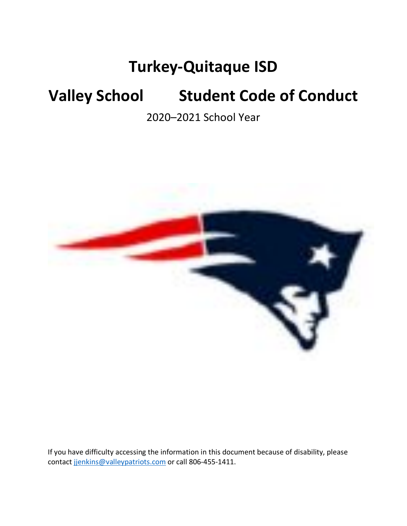# **Turkey-Quitaque ISD**

# **Valley School Student Code of Conduct**

# 2020–2021 School Year



If you have difficulty accessing the information in this document because of disability, please contact jjenkins@valleypatriots.com or call 806-455-1411.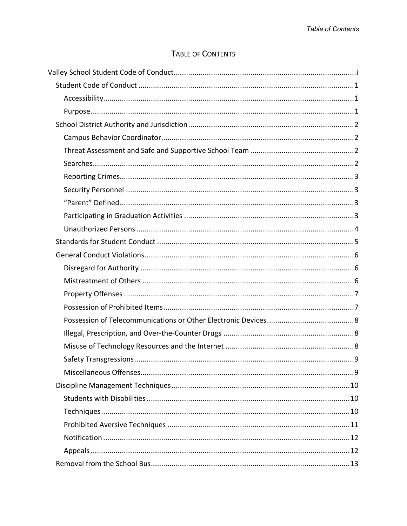# **TABLE OF CONTENTS**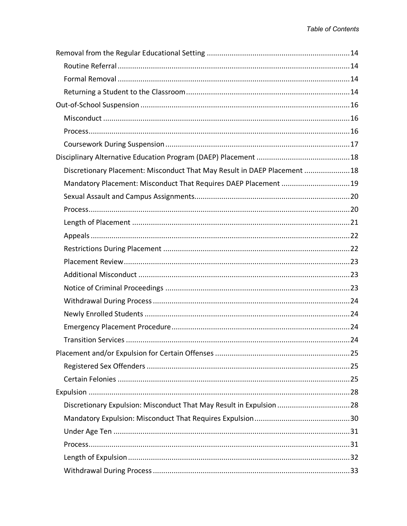| Discretionary Placement: Misconduct That May Result in DAEP Placement 18 |  |
|--------------------------------------------------------------------------|--|
| Mandatory Placement: Misconduct That Requires DAEP Placement 19          |  |
|                                                                          |  |
|                                                                          |  |
|                                                                          |  |
|                                                                          |  |
|                                                                          |  |
|                                                                          |  |
|                                                                          |  |
|                                                                          |  |
|                                                                          |  |
|                                                                          |  |
|                                                                          |  |
|                                                                          |  |
|                                                                          |  |
|                                                                          |  |
|                                                                          |  |
|                                                                          |  |
| Discretionary Expulsion: Misconduct That May Result in Expulsion 28      |  |
|                                                                          |  |
|                                                                          |  |
|                                                                          |  |
|                                                                          |  |
|                                                                          |  |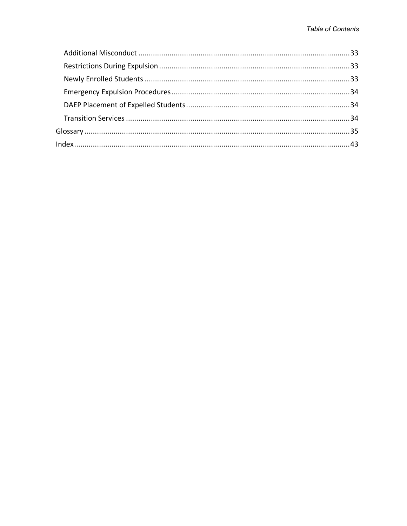| $Index 1, 43$ |  |
|---------------|--|
|               |  |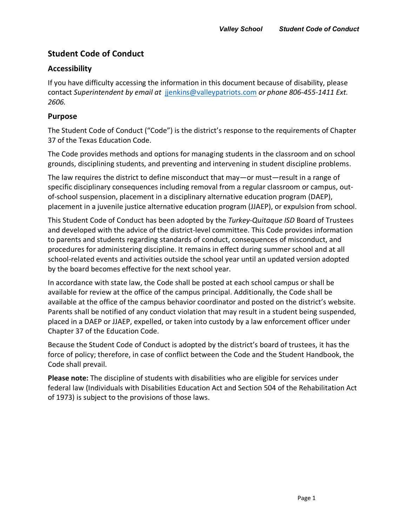# **Student Code of Conduct**

## **Accessibility**

If you have difficulty accessing the information in this document because of disability, please contact *Superintendent by email at* jjenkins@valleypatriots.com *or phone 806-455-1411 Ext. 2606.*

## **Purpose**

The Student Code of Conduct ("Code") is the district's response to the requirements of Chapter 37 of the Texas Education Code.

The Code provides methods and options for managing students in the classroom and on school grounds, disciplining students, and preventing and intervening in student discipline problems.

The law requires the district to define misconduct that may—or must—result in a range of specific disciplinary consequences including removal from a regular classroom or campus, outof-school suspension, placement in a disciplinary alternative education program (DAEP), placement in a juvenile justice alternative education program (JJAEP), or expulsion from school.

This Student Code of Conduct has been adopted by the *Turkey-Quitaque ISD* Board of Trustees and developed with the advice of the district-level committee. This Code provides information to parents and students regarding standards of conduct, consequences of misconduct, and procedures for administering discipline. It remains in effect during summer school and at all school-related events and activities outside the school year until an updated version adopted by the board becomes effective for the next school year.

In accordance with state law, the Code shall be posted at each school campus or shall be available for review at the office of the campus principal. Additionally, the Code shall be available at the office of the campus behavior coordinator and posted on the district's website. Parents shall be notified of any conduct violation that may result in a student being suspended, placed in a DAEP or JJAEP, expelled, or taken into custody by a law enforcement officer under Chapter 37 of the Education Code.

Because the Student Code of Conduct is adopted by the district's board of trustees, it has the force of policy; therefore, in case of conflict between the Code and the Student Handbook, the Code shall prevail.

**Please note:** The discipline of students with disabilities who are eligible for services under federal law (Individuals with Disabilities Education Act and Section 504 of the Rehabilitation Act of 1973) is subject to the provisions of those laws.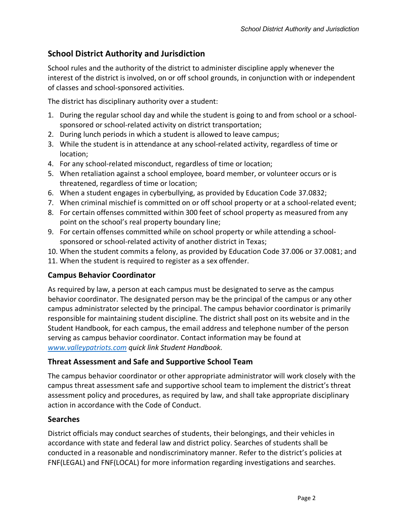# **School District Authority and Jurisdiction**

School rules and the authority of the district to administer discipline apply whenever the interest of the district is involved, on or off school grounds, in conjunction with or independent of classes and school-sponsored activities.

The district has disciplinary authority over a student:

- 1. During the regular school day and while the student is going to and from school or a schoolsponsored or school-related activity on district transportation;
- 2. During lunch periods in which a student is allowed to leave campus;
- 3. While the student is in attendance at any school-related activity, regardless of time or location;
- 4. For any school-related misconduct, regardless of time or location;
- 5. When retaliation against a school employee, board member, or volunteer occurs or is threatened, regardless of time or location;
- 6. When a student engages in cyberbullying, as provided by Education Code 37.0832;
- 7. When criminal mischief is committed on or off school property or at a school-related event;
- 8. For certain offenses committed within 300 feet of school property as measured from any point on the school's real property boundary line;
- 9. For certain offenses committed while on school property or while attending a schoolsponsored or school-related activity of another district in Texas;
- 10. When the student commits a felony, as provided by Education Code 37.006 or 37.0081; and
- 11. When the student is required to register as a sex offender.

## **Campus Behavior Coordinator**

As required by law, a person at each campus must be designated to serve as the campus behavior coordinator. The designated person may be the principal of the campus or any other campus administrator selected by the principal. The campus behavior coordinator is primarily responsible for maintaining student discipline. The district shall post on its website and in the Student Handbook, for each campus, the email address and telephone number of the person serving as campus behavior coordinator. Contact information may be found at *www.valleypatriots.com quick link Student Handbook.*

## **Threat Assessment and Safe and Supportive School Team**

The campus behavior coordinator or other appropriate administrator will work closely with the campus threat assessment safe and supportive school team to implement the district's threat assessment policy and procedures, as required by law, and shall take appropriate disciplinary action in accordance with the Code of Conduct.

## **Searches**

District officials may conduct searches of students, their belongings, and their vehicles in accordance with state and federal law and district policy. Searches of students shall be conducted in a reasonable and nondiscriminatory manner. Refer to the district's policies at FNF(LEGAL) and FNF(LOCAL) for more information regarding investigations and searches.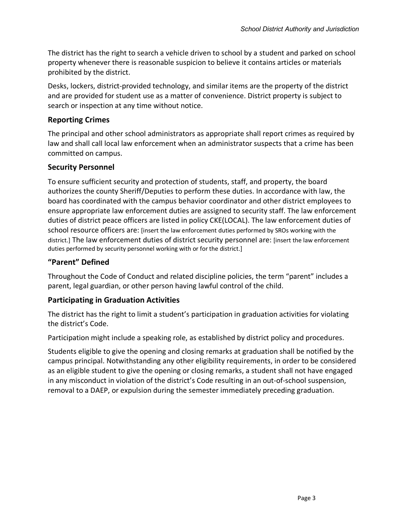The district has the right to search a vehicle driven to school by a student and parked on school property whenever there is reasonable suspicion to believe it contains articles or materials prohibited by the district.

Desks, lockers, district-provided technology, and similar items are the property of the district and are provided for student use as a matter of convenience. District property is subject to search or inspection at any time without notice.

#### **Reporting Crimes**

The principal and other school administrators as appropriate shall report crimes as required by law and shall call local law enforcement when an administrator suspects that a crime has been committed on campus.

#### **Security Personnel**

To ensure sufficient security and protection of students, staff, and property, the board authorizes the county Sheriff/Deputies to perform these duties. In accordance with law, the board has coordinated with the campus behavior coordinator and other district employees to ensure appropriate law enforcement duties are assigned to security staff. The law enforcement duties of district peace officers are listed in policy CKE(LOCAL). The law enforcement duties of school resource officers are: [insert the law enforcement duties performed by SROs working with the district.] The law enforcement duties of district security personnel are: [insert the law enforcement duties performed by security personnel working with or for the district.]

#### **"Parent" Defined**

Throughout the Code of Conduct and related discipline policies, the term "parent" includes a parent, legal guardian, or other person having lawful control of the child.

## **Participating in Graduation Activities**

The district has the right to limit a student's participation in graduation activities for violating the district's Code.

Participation might include a speaking role, as established by district policy and procedures.

Students eligible to give the opening and closing remarks at graduation shall be notified by the campus principal. Notwithstanding any other eligibility requirements, in order to be considered as an eligible student to give the opening or closing remarks, a student shall not have engaged in any misconduct in violation of the district's Code resulting in an out-of-school suspension, removal to a DAEP, or expulsion during the semester immediately preceding graduation.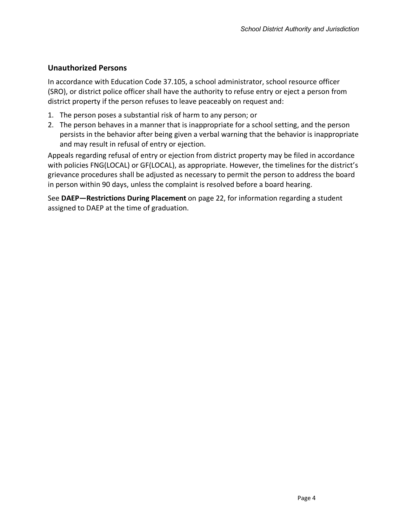## **Unauthorized Persons**

In accordance with Education Code 37.105, a school administrator, school resource officer (SRO), or district police officer shall have the authority to refuse entry or eject a person from district property if the person refuses to leave peaceably on request and:

- 1. The person poses a substantial risk of harm to any person; or
- 2. The person behaves in a manner that is inappropriate for a school setting, and the person persists in the behavior after being given a verbal warning that the behavior is inappropriate and may result in refusal of entry or ejection.

Appeals regarding refusal of entry or ejection from district property may be filed in accordance with policies FNG(LOCAL) or GF(LOCAL), as appropriate. However, the timelines for the district's grievance procedures shall be adjusted as necessary to permit the person to address the board in person within 90 days, unless the complaint is resolved before a board hearing.

See **DAEP—Restrictions During Placement** on page 22, for information regarding a student assigned to DAEP at the time of graduation.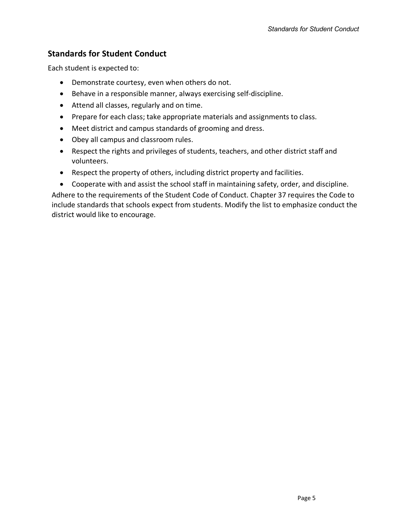# **Standards for Student Conduct**

Each student is expected to:

- Demonstrate courtesy, even when others do not.
- Behave in a responsible manner, always exercising self-discipline.
- Attend all classes, regularly and on time.
- Prepare for each class; take appropriate materials and assignments to class.
- Meet district and campus standards of grooming and dress.
- Obey all campus and classroom rules.
- Respect the rights and privileges of students, teachers, and other district staff and volunteers.
- Respect the property of others, including district property and facilities.
- Cooperate with and assist the school staff in maintaining safety, order, and discipline.

Adhere to the requirements of the Student Code of Conduct. Chapter 37 requires the Code to include standards that schools expect from students. Modify the list to emphasize conduct the district would like to encourage.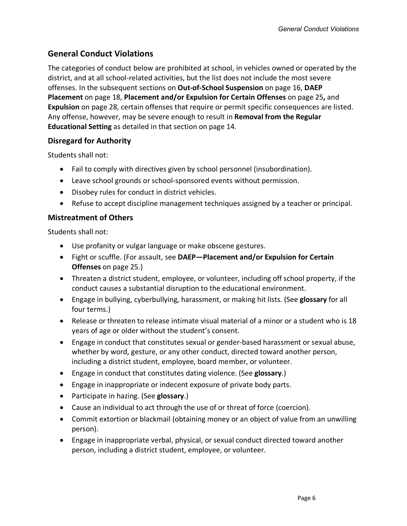# **General Conduct Violations**

The categories of conduct below are prohibited at school, in vehicles owned or operated by the district, and at all school-related activities, but the list does not include the most severe offenses. In the subsequent sections on **Out-of-School Suspension** on page 16, **DAEP Placement** on page 18, **Placement and/or Expulsion for Certain Offenses** on page 25**,** and **Expulsion** on page 28, certain offenses that require or permit specific consequences are listed. Any offense, however, may be severe enough to result in **Removal from the Regular Educational Setting** as detailed in that section on page 14.

## **Disregard for Authority**

Students shall not:

- Fail to comply with directives given by school personnel (insubordination).
- Leave school grounds or school-sponsored events without permission.
- Disobey rules for conduct in district vehicles.
- Refuse to accept discipline management techniques assigned by a teacher or principal.

## **Mistreatment of Others**

Students shall not:

- Use profanity or vulgar language or make obscene gestures.
- Fight or scuffle. (For assault, see **DAEP—Placement and/or Expulsion for Certain Offenses** on page 25.)
- Threaten a district student, employee, or volunteer, including off school property, if the conduct causes a substantial disruption to the educational environment.
- Engage in bullying, cyberbullying, harassment, or making hit lists. (See **glossary** for all four terms.)
- Release or threaten to release intimate visual material of a minor or a student who is 18 years of age or older without the student's consent.
- Engage in conduct that constitutes sexual or gender-based harassment or sexual abuse, whether by word, gesture, or any other conduct, directed toward another person, including a district student, employee, board member, or volunteer.
- Engage in conduct that constitutes dating violence. (See **glossary**.)
- Engage in inappropriate or indecent exposure of private body parts.
- Participate in hazing. (See **glossary**.)
- Cause an individual to act through the use of or threat of force (coercion).
- Commit extortion or blackmail (obtaining money or an object of value from an unwilling person).
- Engage in inappropriate verbal, physical, or sexual conduct directed toward another person, including a district student, employee, or volunteer.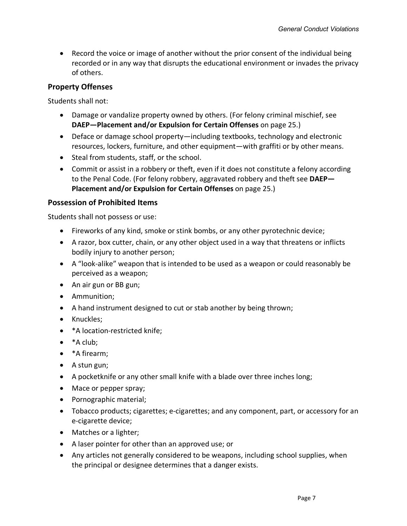• Record the voice or image of another without the prior consent of the individual being recorded or in any way that disrupts the educational environment or invades the privacy of others.

## **Property Offenses**

Students shall not:

- Damage or vandalize property owned by others. (For felony criminal mischief, see **DAEP—Placement and/or Expulsion for Certain Offenses** on page 25.)
- Deface or damage school property—including textbooks, technology and electronic resources, lockers, furniture, and other equipment—with graffiti or by other means.
- Steal from students, staff, or the school.
- Commit or assist in a robbery or theft, even if it does not constitute a felony according to the Penal Code. (For felony robbery, aggravated robbery and theft see **DAEP— Placement and/or Expulsion for Certain Offenses** on page 25.)

## **Possession of Prohibited Items**

Students shall not possess or use:

- Fireworks of any kind, smoke or stink bombs, or any other pyrotechnic device;
- A razor, box cutter, chain, or any other object used in a way that threatens or inflicts bodily injury to another person;
- A "look-alike" weapon that is intended to be used as a weapon or could reasonably be perceived as a weapon;
- An air gun or BB gun;
- Ammunition;
- A hand instrument designed to cut or stab another by being thrown;
- Knuckles;
- \*A location-restricted knife;
- \*A club;
- \*A firearm;
- A stun gun;
- A pocketknife or any other small knife with a blade over three inches long;
- Mace or pepper spray;
- Pornographic material;
- Tobacco products; cigarettes; e-cigarettes; and any component, part, or accessory for an e-cigarette device;
- Matches or a lighter;
- A laser pointer for other than an approved use; or
- Any articles not generally considered to be weapons, including school supplies, when the principal or designee determines that a danger exists.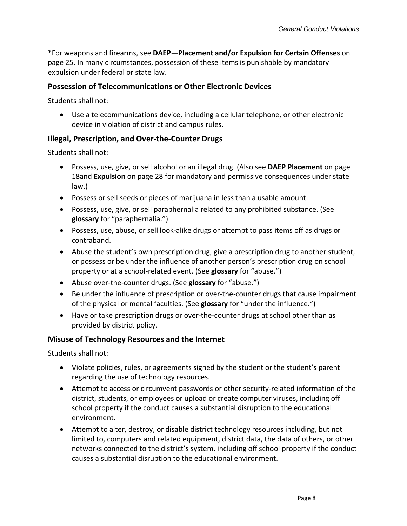\*For weapons and firearms, see **DAEP—Placement and/or Expulsion for Certain Offenses** on page 25. In many circumstances, possession of these items is punishable by mandatory expulsion under federal or state law.

#### **Possession of Telecommunications or Other Electronic Devices**

Students shall not:

• Use a telecommunications device, including a cellular telephone, or other electronic device in violation of district and campus rules.

#### **Illegal, Prescription, and Over-the-Counter Drugs**

Students shall not:

- Possess, use, give, or sell alcohol or an illegal drug. (Also see **DAEP Placement** on page 18and **Expulsion** on page 28 for mandatory and permissive consequences under state law.)
- Possess or sell seeds or pieces of marijuana in less than a usable amount.
- Possess, use, give, or sell paraphernalia related to any prohibited substance. (See **glossary** for "paraphernalia.")
- Possess, use, abuse, or sell look-alike drugs or attempt to pass items off as drugs or contraband.
- Abuse the student's own prescription drug, give a prescription drug to another student, or possess or be under the influence of another person's prescription drug on school property or at a school-related event. (See **glossary** for "abuse.")
- Abuse over-the-counter drugs. (See **glossary** for "abuse.")
- Be under the influence of prescription or over-the-counter drugs that cause impairment of the physical or mental faculties. (See **glossary** for "under the influence.")
- Have or take prescription drugs or over-the-counter drugs at school other than as provided by district policy.

#### **Misuse of Technology Resources and the Internet**

Students shall not:

- Violate policies, rules, or agreements signed by the student or the student's parent regarding the use of technology resources.
- Attempt to access or circumvent passwords or other security-related information of the district, students, or employees or upload or create computer viruses, including off school property if the conduct causes a substantial disruption to the educational environment.
- Attempt to alter, destroy, or disable district technology resources including, but not limited to, computers and related equipment, district data, the data of others, or other networks connected to the district's system, including off school property if the conduct causes a substantial disruption to the educational environment.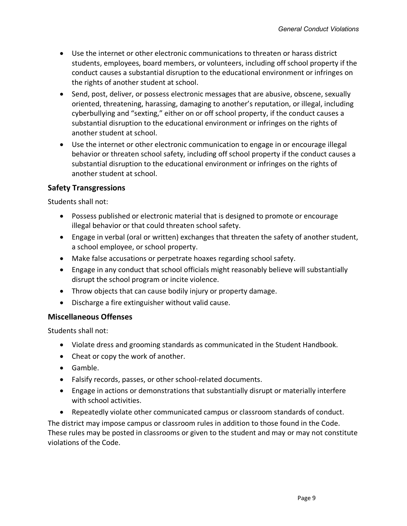- Use the internet or other electronic communications to threaten or harass district students, employees, board members, or volunteers, including off school property if the conduct causes a substantial disruption to the educational environment or infringes on the rights of another student at school.
- Send, post, deliver, or possess electronic messages that are abusive, obscene, sexually oriented, threatening, harassing, damaging to another's reputation, or illegal, including cyberbullying and "sexting," either on or off school property, if the conduct causes a substantial disruption to the educational environment or infringes on the rights of another student at school.
- Use the internet or other electronic communication to engage in or encourage illegal behavior or threaten school safety, including off school property if the conduct causes a substantial disruption to the educational environment or infringes on the rights of another student at school.

## **Safety Transgressions**

Students shall not:

- Possess published or electronic material that is designed to promote or encourage illegal behavior or that could threaten school safety.
- Engage in verbal (oral or written) exchanges that threaten the safety of another student, a school employee, or school property.
- Make false accusations or perpetrate hoaxes regarding school safety.
- Engage in any conduct that school officials might reasonably believe will substantially disrupt the school program or incite violence.
- Throw objects that can cause bodily injury or property damage.
- Discharge a fire extinguisher without valid cause.

## **Miscellaneous Offenses**

Students shall not:

- Violate dress and grooming standards as communicated in the Student Handbook.
- Cheat or copy the work of another.
- Gamble.
- Falsify records, passes, or other school-related documents.
- Engage in actions or demonstrations that substantially disrupt or materially interfere with school activities.
- Repeatedly violate other communicated campus or classroom standards of conduct.

The district may impose campus or classroom rules in addition to those found in the Code. These rules may be posted in classrooms or given to the student and may or may not constitute violations of the Code.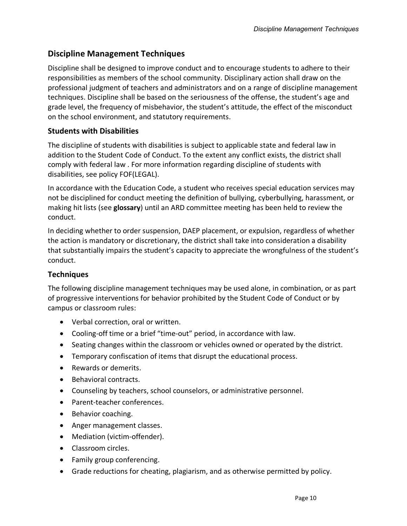# **Discipline Management Techniques**

Discipline shall be designed to improve conduct and to encourage students to adhere to their responsibilities as members of the school community. Disciplinary action shall draw on the professional judgment of teachers and administrators and on a range of discipline management techniques. Discipline shall be based on the seriousness of the offense, the student's age and grade level, the frequency of misbehavior, the student's attitude, the effect of the misconduct on the school environment, and statutory requirements.

## **Students with Disabilities**

The discipline of students with disabilities is subject to applicable state and federal law in addition to the Student Code of Conduct. To the extent any conflict exists, the district shall comply with federal law . For more information regarding discipline of students with disabilities, see policy FOF(LEGAL).

In accordance with the Education Code, a student who receives special education services may not be disciplined for conduct meeting the definition of bullying, cyberbullying, harassment, or making hit lists (see **glossary**) until an ARD committee meeting has been held to review the conduct.

In deciding whether to order suspension, DAEP placement, or expulsion, regardless of whether the action is mandatory or discretionary, the district shall take into consideration a disability that substantially impairs the student's capacity to appreciate the wrongfulness of the student's conduct.

## **Techniques**

The following discipline management techniques may be used alone, in combination, or as part of progressive interventions for behavior prohibited by the Student Code of Conduct or by campus or classroom rules:

- Verbal correction, oral or written.
- Cooling-off time or a brief "time-out" period, in accordance with law.
- Seating changes within the classroom or vehicles owned or operated by the district.
- Temporary confiscation of items that disrupt the educational process.
- Rewards or demerits.
- Behavioral contracts.
- Counseling by teachers, school counselors, or administrative personnel.
- Parent-teacher conferences.
- Behavior coaching.
- Anger management classes.
- Mediation (victim-offender).
- Classroom circles.
- Family group conferencing.
- Grade reductions for cheating, plagiarism, and as otherwise permitted by policy.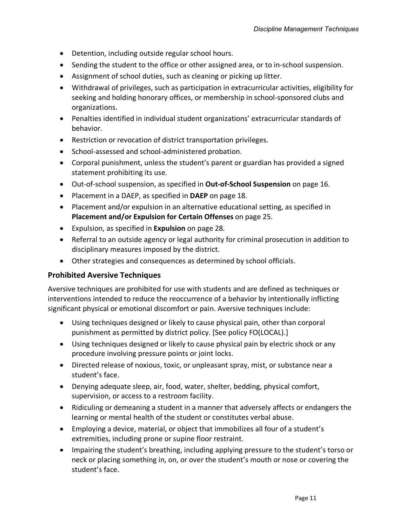- Detention, including outside regular school hours.
- Sending the student to the office or other assigned area, or to in-school suspension.
- Assignment of school duties, such as cleaning or picking up litter.
- Withdrawal of privileges, such as participation in extracurricular activities, eligibility for seeking and holding honorary offices, or membership in school-sponsored clubs and organizations.
- Penalties identified in individual student organizations' extracurricular standards of behavior.
- Restriction or revocation of district transportation privileges.
- School-assessed and school-administered probation.
- Corporal punishment, unless the student's parent or guardian has provided a signed statement prohibiting its use.
- Out-of-school suspension, as specified in **Out-of-School Suspension** on page 16.
- Placement in a DAEP, as specified in **DAEP** on page 18.
- Placement and/or expulsion in an alternative educational setting, as specified in **Placement and/or Expulsion for Certain Offenses** on page 25.
- Expulsion, as specified in **Expulsion** on page 28.
- Referral to an outside agency or legal authority for criminal prosecution in addition to disciplinary measures imposed by the district.
- Other strategies and consequences as determined by school officials.

## **Prohibited Aversive Techniques**

Aversive techniques are prohibited for use with students and are defined as techniques or interventions intended to reduce the reoccurrence of a behavior by intentionally inflicting significant physical or emotional discomfort or pain. Aversive techniques include:

- Using techniques designed or likely to cause physical pain, other than corporal punishment as permitted by district policy. [See policy FO(LOCAL).]
- Using techniques designed or likely to cause physical pain by electric shock or any procedure involving pressure points or joint locks.
- Directed release of noxious, toxic, or unpleasant spray, mist, or substance near a student's face.
- Denying adequate sleep, air, food, water, shelter, bedding, physical comfort, supervision, or access to a restroom facility.
- Ridiculing or demeaning a student in a manner that adversely affects or endangers the learning or mental health of the student or constitutes verbal abuse.
- Employing a device, material, or object that immobilizes all four of a student's extremities, including prone or supine floor restraint.
- Impairing the student's breathing, including applying pressure to the student's torso or neck or placing something in, on, or over the student's mouth or nose or covering the student's face.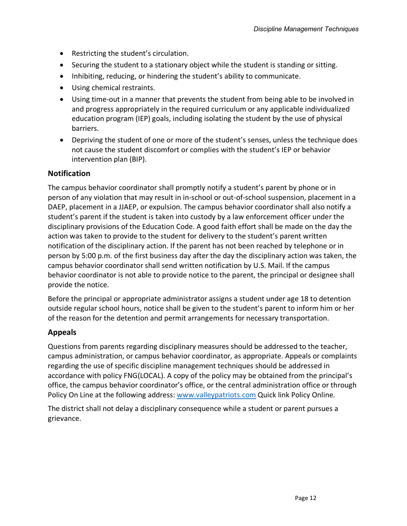- Restricting the student's circulation.
- Securing the student to a stationary object while the student is standing or sitting.
- Inhibiting, reducing, or hindering the student's ability to communicate.
- Using chemical restraints.
- Using time-out in a manner that prevents the student from being able to be involved in and progress appropriately in the required curriculum or any applicable individualized education program (IEP) goals, including isolating the student by the use of physical barriers.
- Depriving the student of one or more of the student's senses, unless the technique does not cause the student discomfort or complies with the student's IEP or behavior intervention plan (BIP).

## **Notification**

The campus behavior coordinator shall promptly notify a student's parent by phone or in person of any violation that may result in in-school or out-of-school suspension, placement in a DAEP, placement in a JJAEP, or expulsion. The campus behavior coordinator shall also notify a student's parent if the student is taken into custody by a law enforcement officer under the disciplinary provisions of the Education Code. A good faith effort shall be made on the day the action was taken to provide to the student for delivery to the student's parent written notification of the disciplinary action. If the parent has not been reached by telephone or in person by 5:00 p.m. of the first business day after the day the disciplinary action was taken, the campus behavior coordinator shall send written notification by U.S. Mail. If the campus behavior coordinator is not able to provide notice to the parent, the principal or designee shall provide the notice.

Before the principal or appropriate administrator assigns a student under age 18 to detention outside regular school hours, notice shall be given to the student's parent to inform him or her of the reason for the detention and permit arrangements for necessary transportation.

## **Appeals**

Questions from parents regarding disciplinary measures should be addressed to the teacher, campus administration, or campus behavior coordinator, as appropriate. Appeals or complaints regarding the use of specific discipline management techniques should be addressed in accordance with policy FNG(LOCAL). A copy of the policy may be obtained from the principal's office, the campus behavior coordinator's office, or the central administration office or through Policy On Line at the following address: www.valleypatriots.com Quick link Policy Online*.*

The district shall not delay a disciplinary consequence while a student or parent pursues a grievance.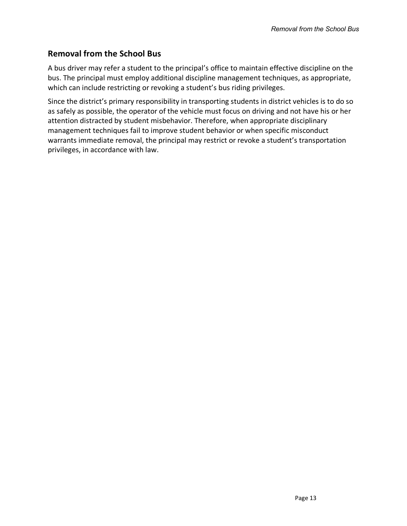# **Removal from the School Bus**

A bus driver may refer a student to the principal's office to maintain effective discipline on the bus. The principal must employ additional discipline management techniques, as appropriate, which can include restricting or revoking a student's bus riding privileges.

Since the district's primary responsibility in transporting students in district vehicles is to do so as safely as possible, the operator of the vehicle must focus on driving and not have his or her attention distracted by student misbehavior. Therefore, when appropriate disciplinary management techniques fail to improve student behavior or when specific misconduct warrants immediate removal, the principal may restrict or revoke a student's transportation privileges, in accordance with law.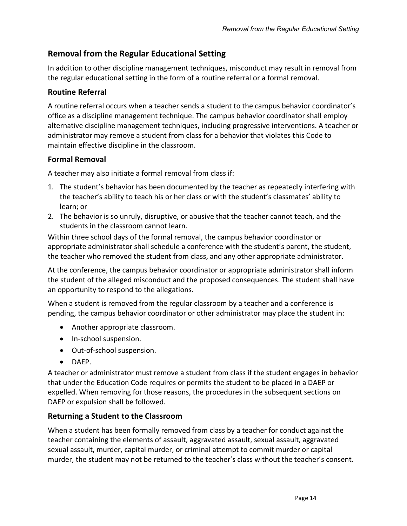# **Removal from the Regular Educational Setting**

In addition to other discipline management techniques, misconduct may result in removal from the regular educational setting in the form of a routine referral or a formal removal.

## **Routine Referral**

A routine referral occurs when a teacher sends a student to the campus behavior coordinator's office as a discipline management technique. The campus behavior coordinator shall employ alternative discipline management techniques, including progressive interventions. A teacher or administrator may remove a student from class for a behavior that violates this Code to maintain effective discipline in the classroom.

## **Formal Removal**

A teacher may also initiate a formal removal from class if:

- 1. The student's behavior has been documented by the teacher as repeatedly interfering with the teacher's ability to teach his or her class or with the student's classmates' ability to learn; or
- 2. The behavior is so unruly, disruptive, or abusive that the teacher cannot teach, and the students in the classroom cannot learn.

Within three school days of the formal removal, the campus behavior coordinator or appropriate administrator shall schedule a conference with the student's parent, the student, the teacher who removed the student from class, and any other appropriate administrator.

At the conference, the campus behavior coordinator or appropriate administrator shall inform the student of the alleged misconduct and the proposed consequences. The student shall have an opportunity to respond to the allegations.

When a student is removed from the regular classroom by a teacher and a conference is pending, the campus behavior coordinator or other administrator may place the student in:

- Another appropriate classroom.
- In-school suspension.
- Out-of-school suspension.
- DAEP.

A teacher or administrator must remove a student from class if the student engages in behavior that under the Education Code requires or permits the student to be placed in a DAEP or expelled. When removing for those reasons, the procedures in the subsequent sections on DAEP or expulsion shall be followed.

## **Returning a Student to the Classroom**

When a student has been formally removed from class by a teacher for conduct against the teacher containing the elements of assault, aggravated assault, sexual assault, aggravated sexual assault, murder, capital murder, or criminal attempt to commit murder or capital murder, the student may not be returned to the teacher's class without the teacher's consent.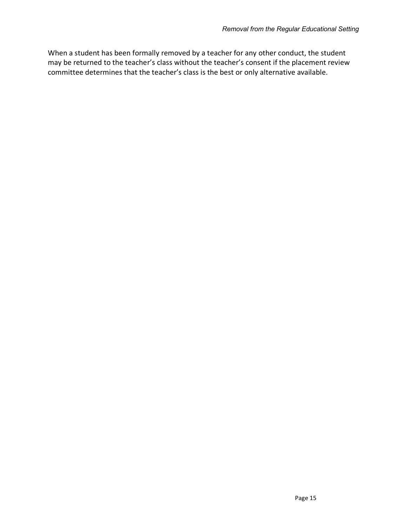When a student has been formally removed by a teacher for any other conduct, the student may be returned to the teacher's class without the teacher's consent if the placement review committee determines that the teacher's class is the best or only alternative available.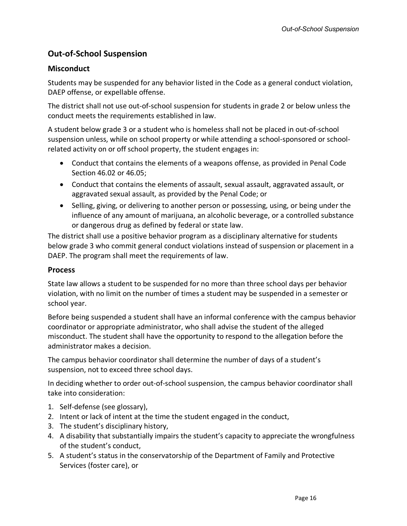# **Out-of-School Suspension**

## **Misconduct**

Students may be suspended for any behavior listed in the Code as a general conduct violation, DAEP offense, or expellable offense.

The district shall not use out-of-school suspension for students in grade 2 or below unless the conduct meets the requirements established in law.

A student below grade 3 or a student who is homeless shall not be placed in out-of-school suspension unless, while on school property or while attending a school-sponsored or schoolrelated activity on or off school property, the student engages in:

- Conduct that contains the elements of a weapons offense, as provided in Penal Code Section 46.02 or 46.05;
- Conduct that contains the elements of assault, sexual assault, aggravated assault, or aggravated sexual assault, as provided by the Penal Code; or
- Selling, giving, or delivering to another person or possessing, using, or being under the influence of any amount of marijuana, an alcoholic beverage, or a controlled substance or dangerous drug as defined by federal or state law.

The district shall use a positive behavior program as a disciplinary alternative for students below grade 3 who commit general conduct violations instead of suspension or placement in a DAEP. The program shall meet the requirements of law.

## **Process**

State law allows a student to be suspended for no more than three school days per behavior violation, with no limit on the number of times a student may be suspended in a semester or school year.

Before being suspended a student shall have an informal conference with the campus behavior coordinator or appropriate administrator, who shall advise the student of the alleged misconduct. The student shall have the opportunity to respond to the allegation before the administrator makes a decision.

The campus behavior coordinator shall determine the number of days of a student's suspension, not to exceed three school days.

In deciding whether to order out-of-school suspension, the campus behavior coordinator shall take into consideration:

- 1. Self-defense (see glossary),
- 2. Intent or lack of intent at the time the student engaged in the conduct,
- 3. The student's disciplinary history,
- 4. A disability that substantially impairs the student's capacity to appreciate the wrongfulness of the student's conduct,
- 5. A student's status in the conservatorship of the Department of Family and Protective Services (foster care), or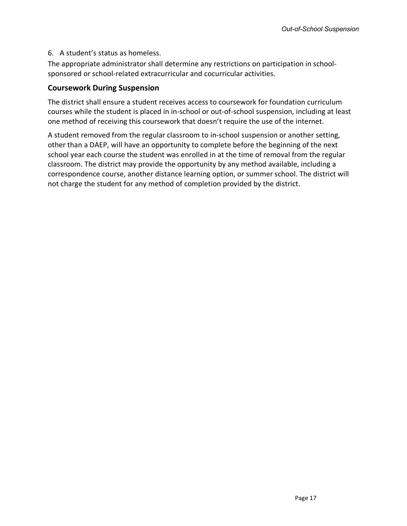## 6. A student's status as homeless.

The appropriate administrator shall determine any restrictions on participation in schoolsponsored or school-related extracurricular and cocurricular activities.

## **Coursework During Suspension**

The district shall ensure a student receives access to coursework for foundation curriculum courses while the student is placed in in-school or out-of-school suspension, including at least one method of receiving this coursework that doesn't require the use of the internet.

A student removed from the regular classroom to in-school suspension or another setting, other than a DAEP, will have an opportunity to complete before the beginning of the next school year each course the student was enrolled in at the time of removal from the regular classroom. The district may provide the opportunity by any method available, including a correspondence course, another distance learning option, or summer school. The district will not charge the student for any method of completion provided by the district.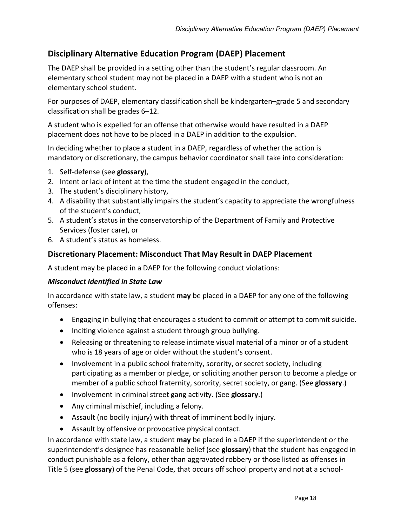# **Disciplinary Alternative Education Program (DAEP) Placement**

The DAEP shall be provided in a setting other than the student's regular classroom. An elementary school student may not be placed in a DAEP with a student who is not an elementary school student.

For purposes of DAEP, elementary classification shall be kindergarten–grade 5 and secondary classification shall be grades 6–12.

A student who is expelled for an offense that otherwise would have resulted in a DAEP placement does not have to be placed in a DAEP in addition to the expulsion.

In deciding whether to place a student in a DAEP, regardless of whether the action is mandatory or discretionary, the campus behavior coordinator shall take into consideration:

- 1. Self-defense (see **glossary**),
- 2. Intent or lack of intent at the time the student engaged in the conduct,
- 3. The student's disciplinary history,
- 4. A disability that substantially impairs the student's capacity to appreciate the wrongfulness of the student's conduct,
- 5. A student's status in the conservatorship of the Department of Family and Protective Services (foster care), or
- 6. A student's status as homeless.

## **Discretionary Placement: Misconduct That May Result in DAEP Placement**

A student may be placed in a DAEP for the following conduct violations:

## *Misconduct Identified in State Law*

In accordance with state law, a student **may** be placed in a DAEP for any one of the following offenses:

- Engaging in bullying that encourages a student to commit or attempt to commit suicide.
- Inciting violence against a student through group bullying.
- Releasing or threatening to release intimate visual material of a minor or of a student who is 18 years of age or older without the student's consent.
- Involvement in a public school fraternity, sorority, or secret society, including participating as a member or pledge, or soliciting another person to become a pledge or member of a public school fraternity, sorority, secret society, or gang. (See **glossary**.)
- Involvement in criminal street gang activity. (See **glossary**.)
- Any criminal mischief, including a felony.
- Assault (no bodily injury) with threat of imminent bodily injury.
- Assault by offensive or provocative physical contact.

In accordance with state law, a student **may** be placed in a DAEP if the superintendent or the superintendent's designee has reasonable belief (see **glossary**) that the student has engaged in conduct punishable as a felony, other than aggravated robbery or those listed as offenses in Title 5 (see **glossary**) of the Penal Code, that occurs off school property and not at a school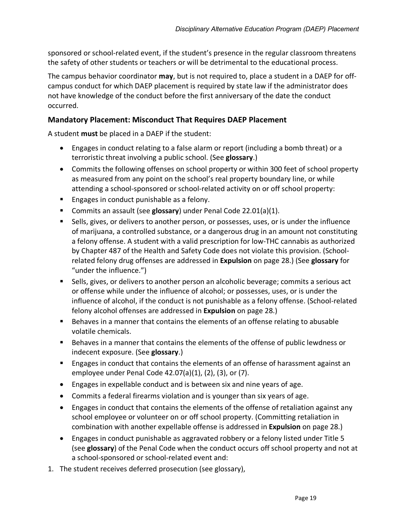sponsored or school-related event, if the student's presence in the regular classroom threatens the safety of other students or teachers or will be detrimental to the educational process.

The campus behavior coordinator **may**, but is not required to, place a student in a DAEP for offcampus conduct for which DAEP placement is required by state law if the administrator does not have knowledge of the conduct before the first anniversary of the date the conduct occurred.

## **Mandatory Placement: Misconduct That Requires DAEP Placement**

A student **must** be placed in a DAEP if the student:

- Engages in conduct relating to a false alarm or report (including a bomb threat) or a terroristic threat involving a public school. (See **glossary**.)
- Commits the following offenses on school property or within 300 feet of school property as measured from any point on the school's real property boundary line, or while attending a school-sponsored or school-related activity on or off school property:
- Engages in conduct punishable as a felony.
- Commits an assault (see **glossary**) under Penal Code 22.01(a)(1).
- Sells, gives, or delivers to another person, or possesses, uses, or is under the influence of marijuana, a controlled substance, or a dangerous drug in an amount not constituting a felony offense. A student with a valid prescription for low-THC cannabis as authorized by Chapter 487 of the Health and Safety Code does not violate this provision. (Schoolrelated felony drug offenses are addressed in **Expulsion** on page 28.) (See **glossary** for "under the influence.")
- Sells, gives, or delivers to another person an alcoholic beverage; commits a serious act or offense while under the influence of alcohol; or possesses, uses, or is under the influence of alcohol, if the conduct is not punishable as a felony offense. (School-related felony alcohol offenses are addressed in **Expulsion** on page 28.)
- Behaves in a manner that contains the elements of an offense relating to abusable volatile chemicals.
- Behaves in a manner that contains the elements of the offense of public lewdness or indecent exposure. (See **glossary**.)
- Engages in conduct that contains the elements of an offense of harassment against an employee under Penal Code 42.07(a)(1), (2), (3), or (7).
- Engages in expellable conduct and is between six and nine years of age.
- Commits a federal firearms violation and is younger than six years of age.
- Engages in conduct that contains the elements of the offense of retaliation against any school employee or volunteer on or off school property. (Committing retaliation in combination with another expellable offense is addressed in **Expulsion** on page 28.)
- Engages in conduct punishable as aggravated robbery or a felony listed under Title 5 (see **glossary**) of the Penal Code when the conduct occurs off school property and not at a school-sponsored or school-related event and:
- 1. The student receives deferred prosecution (see glossary),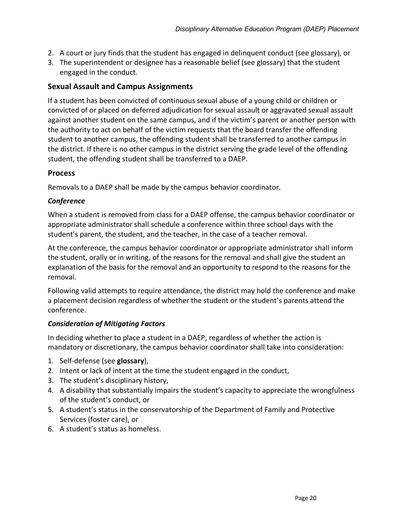- 2. A court or jury finds that the student has engaged in delinquent conduct (see glossary), or
- 3. The superintendent or designee has a reasonable belief (see glossary) that the student engaged in the conduct.

#### **Sexual Assault and Campus Assignments**

If a student has been convicted of continuous sexual abuse of a young child or children or convicted of or placed on deferred adjudication for sexual assault or aggravated sexual assault against another student on the same campus, and if the victim's parent or another person with the authority to act on behalf of the victim requests that the board transfer the offending student to another campus, the offending student shall be transferred to another campus in the district. If there is no other campus in the district serving the grade level of the offending student, the offending student shall be transferred to a DAEP.

#### **Process**

Removals to a DAEP shall be made by the campus behavior coordinator.

#### *Conference*

When a student is removed from class for a DAEP offense, the campus behavior coordinator or appropriate administrator shall schedule a conference within three school days with the student's parent, the student, and the teacher, in the case of a teacher removal.

At the conference, the campus behavior coordinator or appropriate administrator shall inform the student, orally or in writing, of the reasons for the removal and shall give the student an explanation of the basis for the removal and an opportunity to respond to the reasons for the removal.

Following valid attempts to require attendance, the district may hold the conference and make a placement decision regardless of whether the student or the student's parents attend the conference.

#### *Consideration of Mitigating Factors*

In deciding whether to place a student in a DAEP, regardless of whether the action is mandatory or discretionary, the campus behavior coordinator shall take into consideration:

- 1. Self-defense (see **glossary**),
- 2. Intent or lack of intent at the time the student engaged in the conduct,
- 3. The student's disciplinary history,
- 4. A disability that substantially impairs the student's capacity to appreciate the wrongfulness of the student's conduct, or
- 5. A student's status in the conservatorship of the Department of Family and Protective Services (foster care), or
- 6. A student's status as homeless.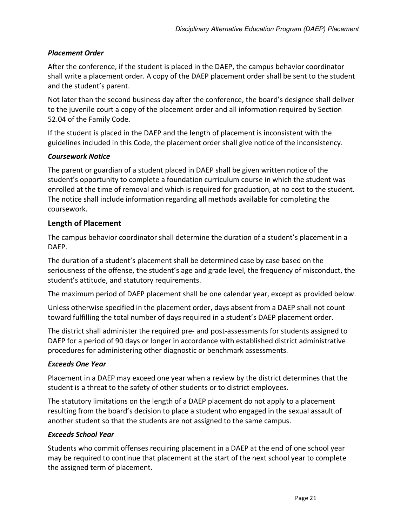## *Placement Order*

After the conference, if the student is placed in the DAEP, the campus behavior coordinator shall write a placement order. A copy of the DAEP placement order shall be sent to the student and the student's parent.

Not later than the second business day after the conference, the board's designee shall deliver to the juvenile court a copy of the placement order and all information required by Section 52.04 of the Family Code.

If the student is placed in the DAEP and the length of placement is inconsistent with the guidelines included in this Code, the placement order shall give notice of the inconsistency.

#### *Coursework Notice*

The parent or guardian of a student placed in DAEP shall be given written notice of the student's opportunity to complete a foundation curriculum course in which the student was enrolled at the time of removal and which is required for graduation, at no cost to the student. The notice shall include information regarding all methods available for completing the coursework.

#### **Length of Placement**

The campus behavior coordinator shall determine the duration of a student's placement in a DAEP.

The duration of a student's placement shall be determined case by case based on the seriousness of the offense, the student's age and grade level, the frequency of misconduct, the student's attitude, and statutory requirements.

The maximum period of DAEP placement shall be one calendar year, except as provided below.

Unless otherwise specified in the placement order, days absent from a DAEP shall not count toward fulfilling the total number of days required in a student's DAEP placement order.

The district shall administer the required pre- and post-assessments for students assigned to DAEP for a period of 90 days or longer in accordance with established district administrative procedures for administering other diagnostic or benchmark assessments.

#### *Exceeds One Year*

Placement in a DAEP may exceed one year when a review by the district determines that the student is a threat to the safety of other students or to district employees.

The statutory limitations on the length of a DAEP placement do not apply to a placement resulting from the board's decision to place a student who engaged in the sexual assault of another student so that the students are not assigned to the same campus.

#### *Exceeds School Year*

Students who commit offenses requiring placement in a DAEP at the end of one school year may be required to continue that placement at the start of the next school year to complete the assigned term of placement.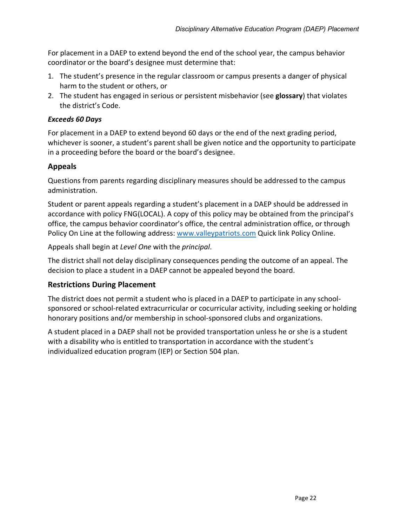For placement in a DAEP to extend beyond the end of the school year, the campus behavior coordinator or the board's designee must determine that:

- 1. The student's presence in the regular classroom or campus presents a danger of physical harm to the student or others, or
- 2. The student has engaged in serious or persistent misbehavior (see **glossary**) that violates the district's Code.

## *Exceeds 60 Days*

For placement in a DAEP to extend beyond 60 days or the end of the next grading period, whichever is sooner, a student's parent shall be given notice and the opportunity to participate in a proceeding before the board or the board's designee.

## **Appeals**

Questions from parents regarding disciplinary measures should be addressed to the campus administration.

Student or parent appeals regarding a student's placement in a DAEP should be addressed in accordance with policy FNG(LOCAL). A copy of this policy may be obtained from the principal's office, the campus behavior coordinator's office, the central administration office, or through Policy On Line at the following address: www.valleypatriots.com Quick link Policy Online.

Appeals shall begin at *Level One* with the *principal*.

The district shall not delay disciplinary consequences pending the outcome of an appeal. The decision to place a student in a DAEP cannot be appealed beyond the board.

## **Restrictions During Placement**

The district does not permit a student who is placed in a DAEP to participate in any schoolsponsored or school-related extracurricular or cocurricular activity, including seeking or holding honorary positions and/or membership in school-sponsored clubs and organizations.

A student placed in a DAEP shall not be provided transportation unless he or she is a student with a disability who is entitled to transportation in accordance with the student's individualized education program (IEP) or Section 504 plan.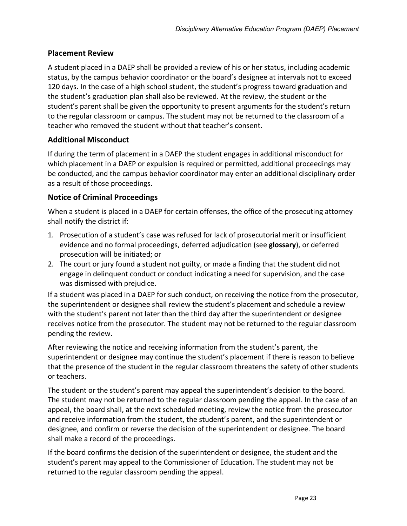## **Placement Review**

A student placed in a DAEP shall be provided a review of his or her status, including academic status, by the campus behavior coordinator or the board's designee at intervals not to exceed 120 days. In the case of a high school student, the student's progress toward graduation and the student's graduation plan shall also be reviewed. At the review, the student or the student's parent shall be given the opportunity to present arguments for the student's return to the regular classroom or campus. The student may not be returned to the classroom of a teacher who removed the student without that teacher's consent.

#### **Additional Misconduct**

If during the term of placement in a DAEP the student engages in additional misconduct for which placement in a DAEP or expulsion is required or permitted, additional proceedings may be conducted, and the campus behavior coordinator may enter an additional disciplinary order as a result of those proceedings.

#### **Notice of Criminal Proceedings**

When a student is placed in a DAEP for certain offenses, the office of the prosecuting attorney shall notify the district if:

- 1. Prosecution of a student's case was refused for lack of prosecutorial merit or insufficient evidence and no formal proceedings, deferred adjudication (see **glossary**), or deferred prosecution will be initiated; or
- 2. The court or jury found a student not guilty, or made a finding that the student did not engage in delinquent conduct or conduct indicating a need for supervision, and the case was dismissed with prejudice.

If a student was placed in a DAEP for such conduct, on receiving the notice from the prosecutor, the superintendent or designee shall review the student's placement and schedule a review with the student's parent not later than the third day after the superintendent or designee receives notice from the prosecutor. The student may not be returned to the regular classroom pending the review.

After reviewing the notice and receiving information from the student's parent, the superintendent or designee may continue the student's placement if there is reason to believe that the presence of the student in the regular classroom threatens the safety of other students or teachers.

The student or the student's parent may appeal the superintendent's decision to the board. The student may not be returned to the regular classroom pending the appeal. In the case of an appeal, the board shall, at the next scheduled meeting, review the notice from the prosecutor and receive information from the student, the student's parent, and the superintendent or designee, and confirm or reverse the decision of the superintendent or designee. The board shall make a record of the proceedings.

If the board confirms the decision of the superintendent or designee, the student and the student's parent may appeal to the Commissioner of Education. The student may not be returned to the regular classroom pending the appeal.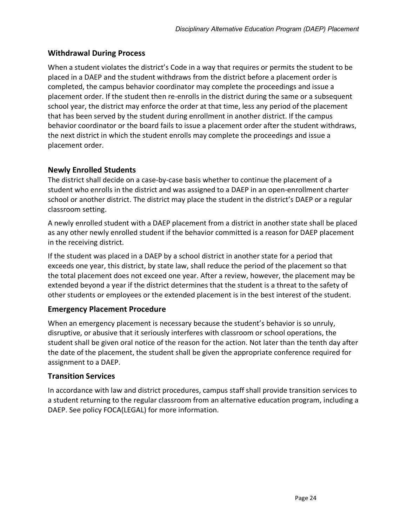## **Withdrawal During Process**

When a student violates the district's Code in a way that requires or permits the student to be placed in a DAEP and the student withdraws from the district before a placement order is completed, the campus behavior coordinator may complete the proceedings and issue a placement order. If the student then re-enrolls in the district during the same or a subsequent school year, the district may enforce the order at that time, less any period of the placement that has been served by the student during enrollment in another district. If the campus behavior coordinator or the board fails to issue a placement order after the student withdraws, the next district in which the student enrolls may complete the proceedings and issue a placement order.

## **Newly Enrolled Students**

The district shall decide on a case-by-case basis whether to continue the placement of a student who enrolls in the district and was assigned to a DAEP in an open-enrollment charter school or another district. The district may place the student in the district's DAEP or a regular classroom setting.

A newly enrolled student with a DAEP placement from a district in another state shall be placed as any other newly enrolled student if the behavior committed is a reason for DAEP placement in the receiving district.

If the student was placed in a DAEP by a school district in another state for a period that exceeds one year, this district, by state law, shall reduce the period of the placement so that the total placement does not exceed one year. After a review, however, the placement may be extended beyond a year if the district determines that the student is a threat to the safety of other students or employees or the extended placement is in the best interest of the student.

## **Emergency Placement Procedure**

When an emergency placement is necessary because the student's behavior is so unruly, disruptive, or abusive that it seriously interferes with classroom or school operations, the student shall be given oral notice of the reason for the action. Not later than the tenth day after the date of the placement, the student shall be given the appropriate conference required for assignment to a DAEP.

## **Transition Services**

In accordance with law and district procedures, campus staff shall provide transition services to a student returning to the regular classroom from an alternative education program, including a DAEP. See policy FOCA(LEGAL) for more information.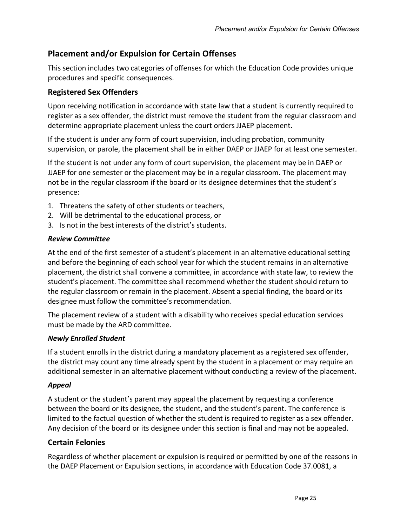# **Placement and/or Expulsion for Certain Offenses**

This section includes two categories of offenses for which the Education Code provides unique procedures and specific consequences.

## **Registered Sex Offenders**

Upon receiving notification in accordance with state law that a student is currently required to register as a sex offender, the district must remove the student from the regular classroom and determine appropriate placement unless the court orders JJAEP placement.

If the student is under any form of court supervision, including probation, community supervision, or parole, the placement shall be in either DAEP or JJAEP for at least one semester.

If the student is not under any form of court supervision, the placement may be in DAEP or JJAEP for one semester or the placement may be in a regular classroom. The placement may not be in the regular classroom if the board or its designee determines that the student's presence:

- 1. Threatens the safety of other students or teachers,
- 2. Will be detrimental to the educational process, or
- 3. Is not in the best interests of the district's students.

#### *Review Committee*

At the end of the first semester of a student's placement in an alternative educational setting and before the beginning of each school year for which the student remains in an alternative placement, the district shall convene a committee, in accordance with state law, to review the student's placement. The committee shall recommend whether the student should return to the regular classroom or remain in the placement. Absent a special finding, the board or its designee must follow the committee's recommendation.

The placement review of a student with a disability who receives special education services must be made by the ARD committee.

## *Newly Enrolled Student*

If a student enrolls in the district during a mandatory placement as a registered sex offender, the district may count any time already spent by the student in a placement or may require an additional semester in an alternative placement without conducting a review of the placement.

## *Appeal*

A student or the student's parent may appeal the placement by requesting a conference between the board or its designee, the student, and the student's parent. The conference is limited to the factual question of whether the student is required to register as a sex offender. Any decision of the board or its designee under this section is final and may not be appealed.

## **Certain Felonies**

Regardless of whether placement or expulsion is required or permitted by one of the reasons in the DAEP Placement or Expulsion sections, in accordance with Education Code 37.0081, a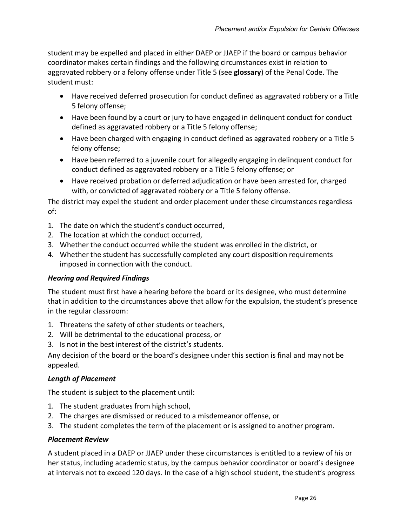student may be expelled and placed in either DAEP or JJAEP if the board or campus behavior coordinator makes certain findings and the following circumstances exist in relation to aggravated robbery or a felony offense under Title 5 (see **glossary**) of the Penal Code. The student must:

- Have received deferred prosecution for conduct defined as aggravated robbery or a Title 5 felony offense;
- Have been found by a court or jury to have engaged in delinquent conduct for conduct defined as aggravated robbery or a Title 5 felony offense;
- Have been charged with engaging in conduct defined as aggravated robbery or a Title 5 felony offense;
- Have been referred to a juvenile court for allegedly engaging in delinquent conduct for conduct defined as aggravated robbery or a Title 5 felony offense; or
- Have received probation or deferred adjudication or have been arrested for, charged with, or convicted of aggravated robbery or a Title 5 felony offense.

The district may expel the student and order placement under these circumstances regardless of:

- 1. The date on which the student's conduct occurred,
- 2. The location at which the conduct occurred,
- 3. Whether the conduct occurred while the student was enrolled in the district, or
- 4. Whether the student has successfully completed any court disposition requirements imposed in connection with the conduct.

## *Hearing and Required Findings*

The student must first have a hearing before the board or its designee, who must determine that in addition to the circumstances above that allow for the expulsion, the student's presence in the regular classroom:

- 1. Threatens the safety of other students or teachers,
- 2. Will be detrimental to the educational process, or
- 3. Is not in the best interest of the district's students.

Any decision of the board or the board's designee under this section is final and may not be appealed.

## *Length of Placement*

The student is subject to the placement until:

- 1. The student graduates from high school,
- 2. The charges are dismissed or reduced to a misdemeanor offense, or
- 3. The student completes the term of the placement or is assigned to another program.

## *Placement Review*

A student placed in a DAEP or JJAEP under these circumstances is entitled to a review of his or her status, including academic status, by the campus behavior coordinator or board's designee at intervals not to exceed 120 days. In the case of a high school student, the student's progress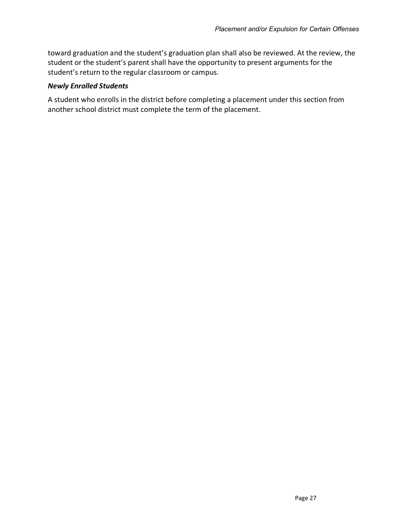toward graduation and the student's graduation plan shall also be reviewed. At the review, the student or the student's parent shall have the opportunity to present arguments for the student's return to the regular classroom or campus.

#### *Newly Enrolled Students*

A student who enrolls in the district before completing a placement under this section from another school district must complete the term of the placement.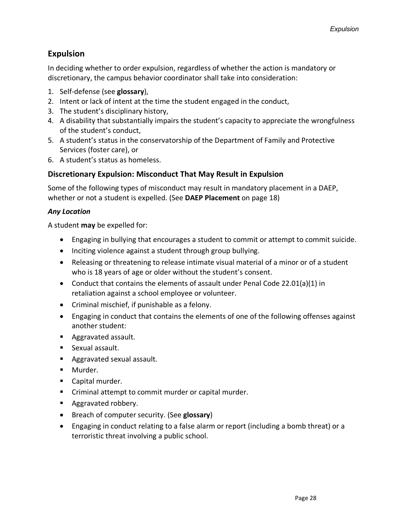# **Expulsion**

In deciding whether to order expulsion, regardless of whether the action is mandatory or discretionary, the campus behavior coordinator shall take into consideration:

- 1. Self-defense (see **glossary**),
- 2. Intent or lack of intent at the time the student engaged in the conduct,
- 3. The student's disciplinary history,
- 4. A disability that substantially impairs the student's capacity to appreciate the wrongfulness of the student's conduct,
- 5. A student's status in the conservatorship of the Department of Family and Protective Services (foster care), or
- 6. A student's status as homeless.

## **Discretionary Expulsion: Misconduct That May Result in Expulsion**

Some of the following types of misconduct may result in mandatory placement in a DAEP, whether or not a student is expelled. (See **DAEP Placement** on page 18)

#### *Any Location*

A student **may** be expelled for:

- Engaging in bullying that encourages a student to commit or attempt to commit suicide.
- Inciting violence against a student through group bullying.
- Releasing or threatening to release intimate visual material of a minor or of a student who is 18 years of age or older without the student's consent.
- Conduct that contains the elements of assault under Penal Code 22.01(a)(1) in retaliation against a school employee or volunteer.
- Criminal mischief, if punishable as a felony.
- Engaging in conduct that contains the elements of one of the following offenses against another student:
- Aggravated assault.
- Sexual assault.
- Aggravated sexual assault.
- Murder.
- Capital murder.
- Criminal attempt to commit murder or capital murder.
- Aggravated robbery.
- Breach of computer security. (See **glossary**)
- Engaging in conduct relating to a false alarm or report (including a bomb threat) or a terroristic threat involving a public school.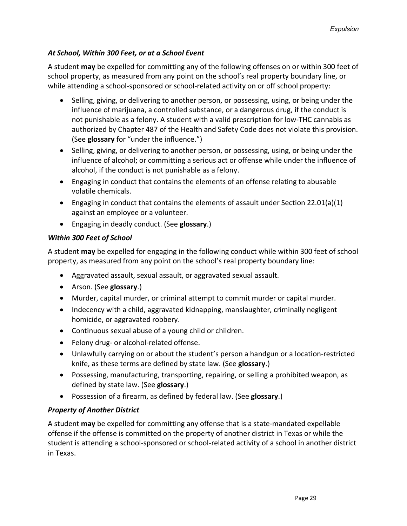## *At School, Within 300 Feet, or at a School Event*

A student **may** be expelled for committing any of the following offenses on or within 300 feet of school property, as measured from any point on the school's real property boundary line, or while attending a school-sponsored or school-related activity on or off school property:

- Selling, giving, or delivering to another person, or possessing, using, or being under the influence of marijuana, a controlled substance, or a dangerous drug, if the conduct is not punishable as a felony. A student with a valid prescription for low-THC cannabis as authorized by Chapter 487 of the Health and Safety Code does not violate this provision. (See **glossary** for "under the influence.")
- Selling, giving, or delivering to another person, or possessing, using, or being under the influence of alcohol; or committing a serious act or offense while under the influence of alcohol, if the conduct is not punishable as a felony.
- Engaging in conduct that contains the elements of an offense relating to abusable volatile chemicals.
- Engaging in conduct that contains the elements of assault under Section 22.01(a)(1) against an employee or a volunteer.
- Engaging in deadly conduct. (See **glossary**.)

## *Within 300 Feet of School*

A student **may** be expelled for engaging in the following conduct while within 300 feet of school property, as measured from any point on the school's real property boundary line:

- Aggravated assault, sexual assault, or aggravated sexual assault.
- Arson. (See **glossary**.)
- Murder, capital murder, or criminal attempt to commit murder or capital murder.
- Indecency with a child, aggravated kidnapping, manslaughter, criminally negligent homicide, or aggravated robbery.
- Continuous sexual abuse of a young child or children.
- Felony drug- or alcohol-related offense.
- Unlawfully carrying on or about the student's person a handgun or a location-restricted knife, as these terms are defined by state law. (See **glossary**.)
- Possessing, manufacturing, transporting, repairing, or selling a prohibited weapon, as defined by state law. (See **glossary**.)
- Possession of a firearm, as defined by federal law. (See **glossary**.)

## *Property of Another District*

A student **may** be expelled for committing any offense that is a state-mandated expellable offense if the offense is committed on the property of another district in Texas or while the student is attending a school-sponsored or school-related activity of a school in another district in Texas.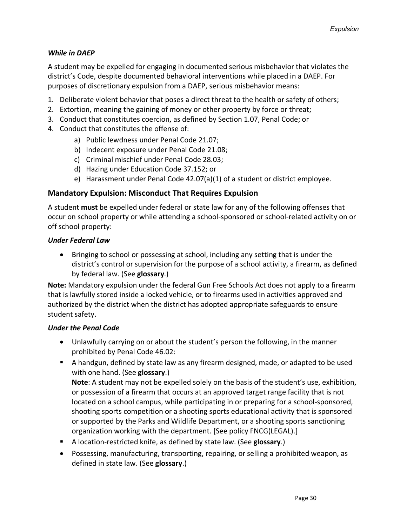#### *While in DAEP*

A student may be expelled for engaging in documented serious misbehavior that violates the district's Code, despite documented behavioral interventions while placed in a DAEP. For purposes of discretionary expulsion from a DAEP, serious misbehavior means:

- 1. Deliberate violent behavior that poses a direct threat to the health or safety of others;
- 2. Extortion, meaning the gaining of money or other property by force or threat;
- 3. Conduct that constitutes coercion, as defined by Section 1.07, Penal Code; or
- 4. Conduct that constitutes the offense of:
	- a) Public lewdness under Penal Code 21.07;
	- b) Indecent exposure under Penal Code 21.08;
	- c) Criminal mischief under Penal Code 28.03;
	- d) Hazing under Education Code 37.152; or
	- e) Harassment under Penal Code 42.07(a)(1) of a student or district employee.

#### **Mandatory Expulsion: Misconduct That Requires Expulsion**

A student **must** be expelled under federal or state law for any of the following offenses that occur on school property or while attending a school-sponsored or school-related activity on or off school property:

#### *Under Federal Law*

• Bringing to school or possessing at school, including any setting that is under the district's control or supervision for the purpose of a school activity, a firearm, as defined by federal law. (See **glossary**.)

**Note:** Mandatory expulsion under the federal Gun Free Schools Act does not apply to a firearm that is lawfully stored inside a locked vehicle, or to firearms used in activities approved and authorized by the district when the district has adopted appropriate safeguards to ensure student safety.

#### *Under the Penal Code*

- Unlawfully carrying on or about the student's person the following, in the manner prohibited by Penal Code 46.02:
- A handgun, defined by state law as any firearm designed, made, or adapted to be used with one hand. (See **glossary**.) **Note**: A student may not be expelled solely on the basis of the student's use, exhibition, or possession of a firearm that occurs at an approved target range facility that is not located on a school campus, while participating in or preparing for a school-sponsored, shooting sports competition or a shooting sports educational activity that is sponsored or supported by the Parks and Wildlife Department, or a shooting sports sanctioning organization working with the department. [See policy FNCG(LEGAL).]
- A location-restricted knife, as defined by state law. (See glossary.)
- Possessing, manufacturing, transporting, repairing, or selling a prohibited weapon, as defined in state law. (See **glossary**.)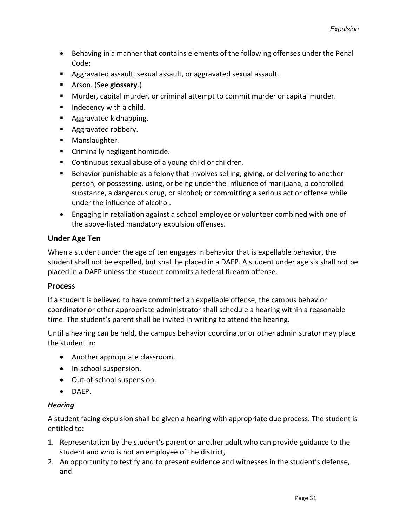- Behaving in a manner that contains elements of the following offenses under the Penal Code:
- Aggravated assault, sexual assault, or aggravated sexual assault.
- **E** Arson. (See glossary.)
- Murder, capital murder, or criminal attempt to commit murder or capital murder.
- Indecency with a child.
- Aggravated kidnapping.
- Aggravated robbery.
- **■** Manslaughter.
- Criminally negligent homicide.
- Continuous sexual abuse of a young child or children.
- Behavior punishable as a felony that involves selling, giving, or delivering to another person, or possessing, using, or being under the influence of marijuana, a controlled substance, a dangerous drug, or alcohol; or committing a serious act or offense while under the influence of alcohol.
- Engaging in retaliation against a school employee or volunteer combined with one of the above-listed mandatory expulsion offenses.

## **Under Age Ten**

When a student under the age of ten engages in behavior that is expellable behavior, the student shall not be expelled, but shall be placed in a DAEP. A student under age six shall not be placed in a DAEP unless the student commits a federal firearm offense.

#### **Process**

If a student is believed to have committed an expellable offense, the campus behavior coordinator or other appropriate administrator shall schedule a hearing within a reasonable time. The student's parent shall be invited in writing to attend the hearing.

Until a hearing can be held, the campus behavior coordinator or other administrator may place the student in:

- Another appropriate classroom.
- In-school suspension.
- Out-of-school suspension.
- DAEP.

#### *Hearing*

A student facing expulsion shall be given a hearing with appropriate due process. The student is entitled to:

- 1. Representation by the student's parent or another adult who can provide guidance to the student and who is not an employee of the district,
- 2. An opportunity to testify and to present evidence and witnesses in the student's defense, and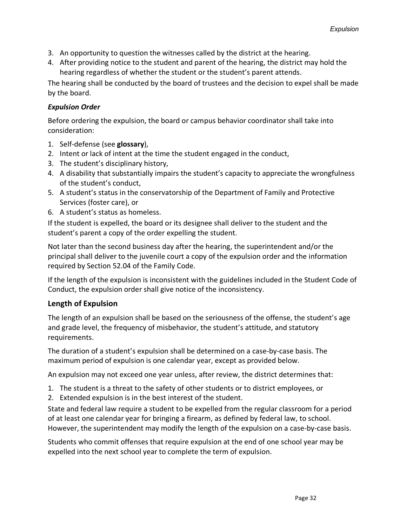- 3. An opportunity to question the witnesses called by the district at the hearing.
- 4. After providing notice to the student and parent of the hearing, the district may hold the hearing regardless of whether the student or the student's parent attends.

The hearing shall be conducted by the board of trustees and the decision to expel shall be made by the board.

#### *Expulsion Order*

Before ordering the expulsion, the board or campus behavior coordinator shall take into consideration:

- 1. Self-defense (see **glossary**),
- 2. Intent or lack of intent at the time the student engaged in the conduct,
- 3. The student's disciplinary history,
- 4. A disability that substantially impairs the student's capacity to appreciate the wrongfulness of the student's conduct,
- 5. A student's status in the conservatorship of the Department of Family and Protective Services (foster care), or
- 6. A student's status as homeless.

If the student is expelled, the board or its designee shall deliver to the student and the student's parent a copy of the order expelling the student.

Not later than the second business day after the hearing, the superintendent and/or the principal shall deliver to the juvenile court a copy of the expulsion order and the information required by Section 52.04 of the Family Code.

If the length of the expulsion is inconsistent with the guidelines included in the Student Code of Conduct, the expulsion order shall give notice of the inconsistency.

#### **Length of Expulsion**

The length of an expulsion shall be based on the seriousness of the offense, the student's age and grade level, the frequency of misbehavior, the student's attitude, and statutory requirements.

The duration of a student's expulsion shall be determined on a case-by-case basis. The maximum period of expulsion is one calendar year, except as provided below.

An expulsion may not exceed one year unless, after review, the district determines that:

- 1. The student is a threat to the safety of other students or to district employees, or
- 2. Extended expulsion is in the best interest of the student.

State and federal law require a student to be expelled from the regular classroom for a period of at least one calendar year for bringing a firearm, as defined by federal law, to school. However, the superintendent may modify the length of the expulsion on a case-by-case basis.

Students who commit offenses that require expulsion at the end of one school year may be expelled into the next school year to complete the term of expulsion.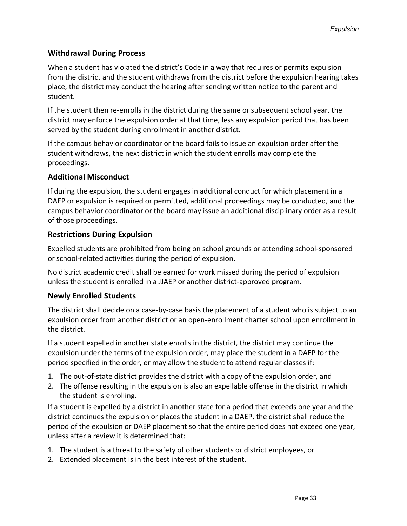## **Withdrawal During Process**

When a student has violated the district's Code in a way that requires or permits expulsion from the district and the student withdraws from the district before the expulsion hearing takes place, the district may conduct the hearing after sending written notice to the parent and student.

If the student then re-enrolls in the district during the same or subsequent school year, the district may enforce the expulsion order at that time, less any expulsion period that has been served by the student during enrollment in another district.

If the campus behavior coordinator or the board fails to issue an expulsion order after the student withdraws, the next district in which the student enrolls may complete the proceedings.

#### **Additional Misconduct**

If during the expulsion, the student engages in additional conduct for which placement in a DAEP or expulsion is required or permitted, additional proceedings may be conducted, and the campus behavior coordinator or the board may issue an additional disciplinary order as a result of those proceedings.

## **Restrictions During Expulsion**

Expelled students are prohibited from being on school grounds or attending school-sponsored or school-related activities during the period of expulsion.

No district academic credit shall be earned for work missed during the period of expulsion unless the student is enrolled in a JJAEP or another district-approved program.

#### **Newly Enrolled Students**

The district shall decide on a case-by-case basis the placement of a student who is subject to an expulsion order from another district or an open-enrollment charter school upon enrollment in the district.

If a student expelled in another state enrolls in the district, the district may continue the expulsion under the terms of the expulsion order, may place the student in a DAEP for the period specified in the order, or may allow the student to attend regular classes if:

- 1. The out-of-state district provides the district with a copy of the expulsion order, and
- 2. The offense resulting in the expulsion is also an expellable offense in the district in which the student is enrolling.

If a student is expelled by a district in another state for a period that exceeds one year and the district continues the expulsion or places the student in a DAEP, the district shall reduce the period of the expulsion or DAEP placement so that the entire period does not exceed one year, unless after a review it is determined that:

- 1. The student is a threat to the safety of other students or district employees, or
- 2. Extended placement is in the best interest of the student.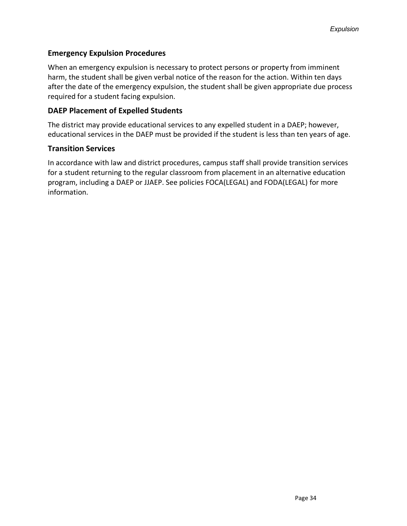## **Emergency Expulsion Procedures**

When an emergency expulsion is necessary to protect persons or property from imminent harm, the student shall be given verbal notice of the reason for the action. Within ten days after the date of the emergency expulsion, the student shall be given appropriate due process required for a student facing expulsion.

#### **DAEP Placement of Expelled Students**

The district may provide educational services to any expelled student in a DAEP; however, educational services in the DAEP must be provided if the student is less than ten years of age.

#### **Transition Services**

In accordance with law and district procedures, campus staff shall provide transition services for a student returning to the regular classroom from placement in an alternative education program, including a DAEP or JJAEP. See policies FOCA(LEGAL) and FODA(LEGAL) for more information.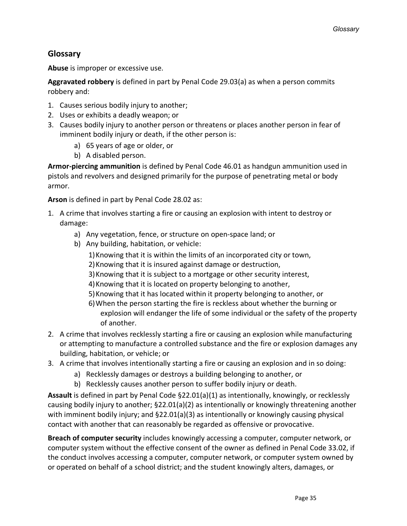## **Glossary**

**Abuse** is improper or excessive use.

**Aggravated robbery** is defined in part by Penal Code 29.03(a) as when a person commits robbery and:

- 1. Causes serious bodily injury to another;
- 2. Uses or exhibits a deadly weapon; or
- 3. Causes bodily injury to another person or threatens or places another person in fear of imminent bodily injury or death, if the other person is:
	- a) 65 years of age or older, or
	- b) A disabled person.

**Armor-piercing ammunition** is defined by Penal Code 46.01 as handgun ammunition used in pistols and revolvers and designed primarily for the purpose of penetrating metal or body armor.

**Arson** is defined in part by Penal Code 28.02 as:

- 1. A crime that involves starting a fire or causing an explosion with intent to destroy or damage:
	- a) Any vegetation, fence, or structure on open-space land; or
	- b) Any building, habitation, or vehicle:
		- 1)Knowing that it is within the limits of an incorporated city or town,
		- 2)Knowing that it is insured against damage or destruction,
		- 3)Knowing that it is subject to a mortgage or other security interest,
		- 4)Knowing that it is located on property belonging to another,
		- 5)Knowing that it has located within it property belonging to another, or
		- 6)When the person starting the fire is reckless about whether the burning or explosion will endanger the life of some individual or the safety of the property of another.
- 2. A crime that involves recklessly starting a fire or causing an explosion while manufacturing or attempting to manufacture a controlled substance and the fire or explosion damages any building, habitation, or vehicle; or
- 3. A crime that involves intentionally starting a fire or causing an explosion and in so doing:
	- a) Recklessly damages or destroys a building belonging to another, or
	- b) Recklessly causes another person to suffer bodily injury or death.

**Assault** is defined in part by Penal Code §22.01(a)(1) as intentionally, knowingly, or recklessly causing bodily injury to another; §22.01(a)(2) as intentionally or knowingly threatening another with imminent bodily injury; and §22.01(a)(3) as intentionally or knowingly causing physical contact with another that can reasonably be regarded as offensive or provocative.

**Breach of computer security** includes knowingly accessing a computer, computer network, or computer system without the effective consent of the owner as defined in Penal Code 33.02, if the conduct involves accessing a computer, computer network, or computer system owned by or operated on behalf of a school district; and the student knowingly alters, damages, or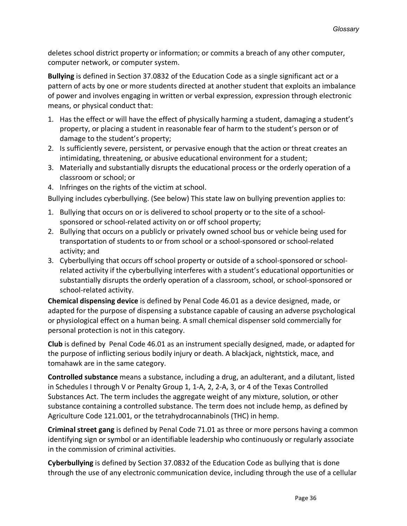deletes school district property or information; or commits a breach of any other computer, computer network, or computer system.

**Bullying** is defined in Section 37.0832 of the Education Code as a single significant act or a pattern of acts by one or more students directed at another student that exploits an imbalance of power and involves engaging in written or verbal expression, expression through electronic means, or physical conduct that:

- 1. Has the effect or will have the effect of physically harming a student, damaging a student's property, or placing a student in reasonable fear of harm to the student's person or of damage to the student's property;
- 2. Is sufficiently severe, persistent, or pervasive enough that the action or threat creates an intimidating, threatening, or abusive educational environment for a student;
- 3. Materially and substantially disrupts the educational process or the orderly operation of a classroom or school; or
- 4. Infringes on the rights of the victim at school.

Bullying includes cyberbullying. (See below) This state law on bullying prevention applies to:

- 1. Bullying that occurs on or is delivered to school property or to the site of a schoolsponsored or school-related activity on or off school property;
- 2. Bullying that occurs on a publicly or privately owned school bus or vehicle being used for transportation of students to or from school or a school-sponsored or school-related activity; and
- 3. Cyberbullying that occurs off school property or outside of a school-sponsored or schoolrelated activity if the cyberbullying interferes with a student's educational opportunities or substantially disrupts the orderly operation of a classroom, school, or school-sponsored or school-related activity.

**Chemical dispensing device** is defined by Penal Code 46.01 as a device designed, made, or adapted for the purpose of dispensing a substance capable of causing an adverse psychological or physiological effect on a human being. A small chemical dispenser sold commercially for personal protection is not in this category.

**Club** is defined by Penal Code 46.01 as an instrument specially designed, made, or adapted for the purpose of inflicting serious bodily injury or death. A blackjack, nightstick, mace, and tomahawk are in the same category.

**Controlled substance** means a substance, including a drug, an adulterant, and a dilutant, listed in Schedules I through V or Penalty Group 1, 1-A, 2, 2-A, 3, or 4 of the Texas Controlled Substances Act. The term includes the aggregate weight of any mixture, solution, or other substance containing a controlled substance. The term does not include hemp, as defined by Agriculture Code 121.001, or the tetrahydrocannabinols (THC) in hemp.

**Criminal street gang** is defined by Penal Code 71.01 as three or more persons having a common identifying sign or symbol or an identifiable leadership who continuously or regularly associate in the commission of criminal activities.

**Cyberbullying** is defined by Section 37.0832 of the Education Code as bullying that is done through the use of any electronic communication device, including through the use of a cellular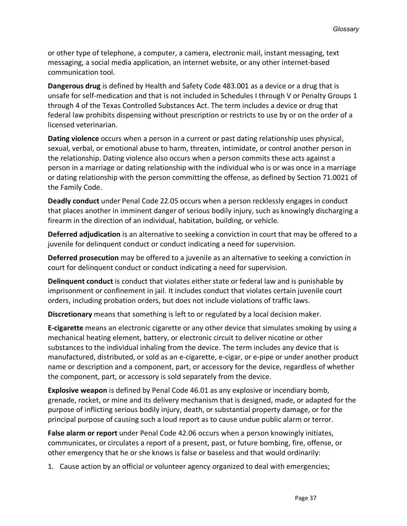or other type of telephone, a computer, a camera, electronic mail, instant messaging, text messaging, a social media application, an internet website, or any other internet-based communication tool.

**Dangerous drug** is defined by Health and Safety Code 483.001 as a device or a drug that is unsafe for self-medication and that is not included in Schedules I through V or Penalty Groups 1 through 4 of the Texas Controlled Substances Act. The term includes a device or drug that federal law prohibits dispensing without prescription or restricts to use by or on the order of a licensed veterinarian.

**Dating violence** occurs when a person in a current or past dating relationship uses physical, sexual, verbal, or emotional abuse to harm, threaten, intimidate, or control another person in the relationship. Dating violence also occurs when a person commits these acts against a person in a marriage or dating relationship with the individual who is or was once in a marriage or dating relationship with the person committing the offense, as defined by Section 71.0021 of the Family Code.

**Deadly conduct** under Penal Code 22.05 occurs when a person recklessly engages in conduct that places another in imminent danger of serious bodily injury, such as knowingly discharging a firearm in the direction of an individual, habitation, building, or vehicle.

**Deferred adjudication** is an alternative to seeking a conviction in court that may be offered to a juvenile for delinquent conduct or conduct indicating a need for supervision.

**Deferred prosecution** may be offered to a juvenile as an alternative to seeking a conviction in court for delinquent conduct or conduct indicating a need for supervision.

**Delinquent conduct** is conduct that violates either state or federal law and is punishable by imprisonment or confinement in jail. It includes conduct that violates certain juvenile court orders, including probation orders, but does not include violations of traffic laws.

**Discretionary** means that something is left to or regulated by a local decision maker.

**E-cigarette** means an electronic cigarette or any other device that simulates smoking by using a mechanical heating element, battery, or electronic circuit to deliver nicotine or other substances to the individual inhaling from the device. The term includes any device that is manufactured, distributed, or sold as an e-cigarette, e-cigar, or e-pipe or under another product name or description and a component, part, or accessory for the device, regardless of whether the component, part, or accessory is sold separately from the device.

**Explosive weapon** is defined by Penal Code 46.01 as any explosive or incendiary bomb, grenade, rocket, or mine and its delivery mechanism that is designed, made, or adapted for the purpose of inflicting serious bodily injury, death, or substantial property damage, or for the principal purpose of causing such a loud report as to cause undue public alarm or terror.

**False alarm or report** under Penal Code 42.06 occurs when a person knowingly initiates, communicates, or circulates a report of a present, past, or future bombing, fire, offense, or other emergency that he or she knows is false or baseless and that would ordinarily:

1. Cause action by an official or volunteer agency organized to deal with emergencies;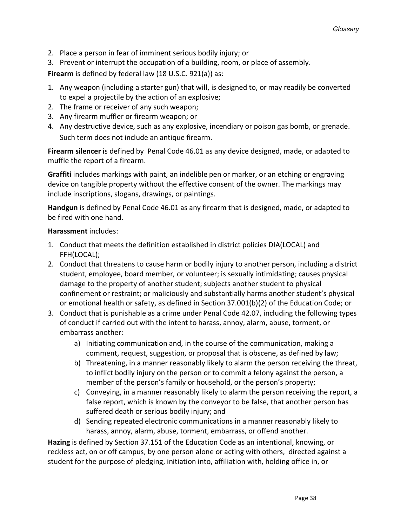- 2. Place a person in fear of imminent serious bodily injury; or
- 3. Prevent or interrupt the occupation of a building, room, or place of assembly.

**Firearm** is defined by federal law (18 U.S.C. 921(a)) as:

- 1. Any weapon (including a starter gun) that will, is designed to, or may readily be converted to expel a projectile by the action of an explosive;
- 2. The frame or receiver of any such weapon;
- 3. Any firearm muffler or firearm weapon; or
- 4. Any destructive device, such as any explosive, incendiary or poison gas bomb, or grenade. Such term does not include an antique firearm.

**Firearm silencer** is defined by Penal Code 46.01 as any device designed, made, or adapted to muffle the report of a firearm.

**Graffiti** includes markings with paint, an indelible pen or marker, or an etching or engraving device on tangible property without the effective consent of the owner. The markings may include inscriptions, slogans, drawings, or paintings.

**Handgun** is defined by Penal Code 46.01 as any firearm that is designed, made, or adapted to be fired with one hand.

#### **Harassment** includes:

- 1. Conduct that meets the definition established in district policies DIA(LOCAL) and FFH(LOCAL);
- 2. Conduct that threatens to cause harm or bodily injury to another person, including a district student, employee, board member, or volunteer; is sexually intimidating; causes physical damage to the property of another student; subjects another student to physical confinement or restraint; or maliciously and substantially harms another student's physical or emotional health or safety, as defined in Section 37.001(b)(2) of the Education Code; or
- 3. Conduct that is punishable as a crime under Penal Code 42.07, including the following types of conduct if carried out with the intent to harass, annoy, alarm, abuse, torment, or embarrass another:
	- a) Initiating communication and, in the course of the communication, making a comment, request, suggestion, or proposal that is obscene, as defined by law;
	- b) Threatening, in a manner reasonably likely to alarm the person receiving the threat, to inflict bodily injury on the person or to commit a felony against the person, a member of the person's family or household, or the person's property;
	- c) Conveying, in a manner reasonably likely to alarm the person receiving the report, a false report, which is known by the conveyor to be false, that another person has suffered death or serious bodily injury; and
	- d) Sending repeated electronic communications in a manner reasonably likely to harass, annoy, alarm, abuse, torment, embarrass, or offend another.

**Hazing** is defined by Section 37.151 of the Education Code as an intentional, knowing, or reckless act, on or off campus, by one person alone or acting with others, directed against a student for the purpose of pledging, initiation into, affiliation with, holding office in, or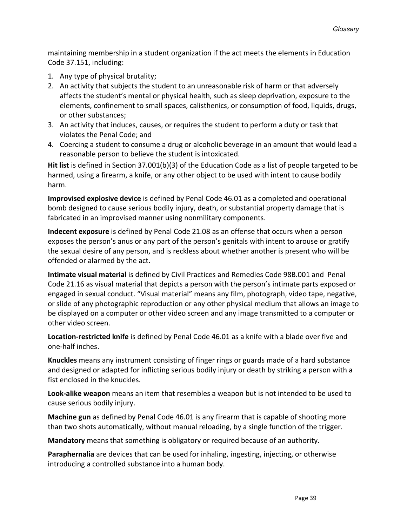maintaining membership in a student organization if the act meets the elements in Education Code 37.151, including:

- 1. Any type of physical brutality;
- 2. An activity that subjects the student to an unreasonable risk of harm or that adversely affects the student's mental or physical health, such as sleep deprivation, exposure to the elements, confinement to small spaces, calisthenics, or consumption of food, liquids, drugs, or other substances;
- 3. An activity that induces, causes, or requires the student to perform a duty or task that violates the Penal Code; and
- 4. Coercing a student to consume a drug or alcoholic beverage in an amount that would lead a reasonable person to believe the student is intoxicated.

**Hit list** is defined in Section 37.001(b)(3) of the Education Code as a list of people targeted to be harmed, using a firearm, a knife, or any other object to be used with intent to cause bodily harm.

**Improvised explosive device** is defined by Penal Code 46.01 as a completed and operational bomb designed to cause serious bodily injury, death, or substantial property damage that is fabricated in an improvised manner using nonmilitary components.

**Indecent exposure** is defined by Penal Code 21.08 as an offense that occurs when a person exposes the person's anus or any part of the person's genitals with intent to arouse or gratify the sexual desire of any person, and is reckless about whether another is present who will be offended or alarmed by the act.

**Intimate visual material** is defined by Civil Practices and Remedies Code 98B.001 and Penal Code 21.16 as visual material that depicts a person with the person's intimate parts exposed or engaged in sexual conduct. "Visual material" means any film, photograph, video tape, negative, or slide of any photographic reproduction or any other physical medium that allows an image to be displayed on a computer or other video screen and any image transmitted to a computer or other video screen.

**Location-restricted knife** is defined by Penal Code 46.01 as a knife with a blade over five and one-half inches.

**Knuckles** means any instrument consisting of finger rings or guards made of a hard substance and designed or adapted for inflicting serious bodily injury or death by striking a person with a fist enclosed in the knuckles.

**Look-alike weapon** means an item that resembles a weapon but is not intended to be used to cause serious bodily injury.

**Machine gun** as defined by Penal Code 46.01 is any firearm that is capable of shooting more than two shots automatically, without manual reloading, by a single function of the trigger.

**Mandatory** means that something is obligatory or required because of an authority.

**Paraphernalia** are devices that can be used for inhaling, ingesting, injecting, or otherwise introducing a controlled substance into a human body.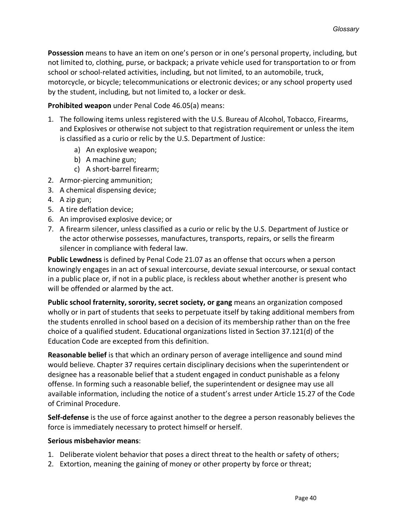**Possession** means to have an item on one's person or in one's personal property, including, but not limited to, clothing, purse, or backpack; a private vehicle used for transportation to or from school or school-related activities, including, but not limited, to an automobile, truck, motorcycle, or bicycle; telecommunications or electronic devices; or any school property used by the student, including, but not limited to, a locker or desk.

#### **Prohibited weapon** under Penal Code 46.05(a) means:

- 1. The following items unless registered with the U.S. Bureau of Alcohol, Tobacco, Firearms, and Explosives or otherwise not subject to that registration requirement or unless the item is classified as a curio or relic by the U.S. Department of Justice:
	- a) An explosive weapon;
	- b) A machine gun;
	- c) A short-barrel firearm;
- 2. Armor-piercing ammunition;
- 3. A chemical dispensing device;
- 4. A zip gun;
- 5. A tire deflation device;
- 6. An improvised explosive device; or
- 7. A firearm silencer, unless classified as a curio or relic by the U.S. Department of Justice or the actor otherwise possesses, manufactures, transports, repairs, or sells the firearm silencer in compliance with federal law.

**Public Lewdness** is defined by Penal Code 21.07 as an offense that occurs when a person knowingly engages in an act of sexual intercourse, deviate sexual intercourse, or sexual contact in a public place or, if not in a public place, is reckless about whether another is present who will be offended or alarmed by the act.

**Public school fraternity, sorority, secret society, or gang** means an organization composed wholly or in part of students that seeks to perpetuate itself by taking additional members from the students enrolled in school based on a decision of its membership rather than on the free choice of a qualified student. Educational organizations listed in Section 37.121(d) of the Education Code are excepted from this definition.

**Reasonable belief** is that which an ordinary person of average intelligence and sound mind would believe. Chapter 37 requires certain disciplinary decisions when the superintendent or designee has a reasonable belief that a student engaged in conduct punishable as a felony offense. In forming such a reasonable belief, the superintendent or designee may use all available information, including the notice of a student's arrest under Article 15.27 of the Code of Criminal Procedure.

**Self-defense** is the use of force against another to the degree a person reasonably believes the force is immediately necessary to protect himself or herself.

#### **Serious misbehavior means**:

- 1. Deliberate violent behavior that poses a direct threat to the health or safety of others;
- 2. Extortion, meaning the gaining of money or other property by force or threat;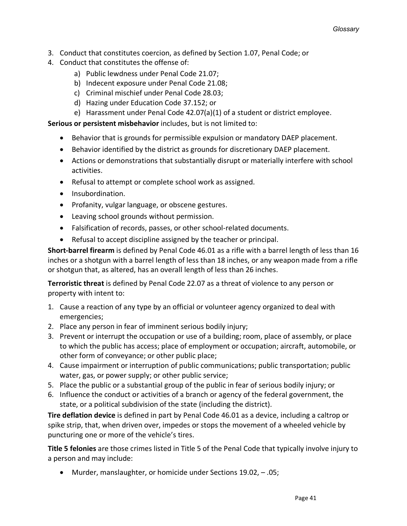- 3. Conduct that constitutes coercion, as defined by Section 1.07, Penal Code; or
- 4. Conduct that constitutes the offense of:
	- a) Public lewdness under Penal Code 21.07;
	- b) Indecent exposure under Penal Code 21.08;
	- c) Criminal mischief under Penal Code 28.03;
	- d) Hazing under Education Code 37.152; or
	- e) Harassment under Penal Code 42.07(a)(1) of a student or district employee.

**Serious or persistent misbehavior** includes, but is not limited to:

- Behavior that is grounds for permissible expulsion or mandatory DAEP placement.
- Behavior identified by the district as grounds for discretionary DAEP placement.
- Actions or demonstrations that substantially disrupt or materially interfere with school activities.
- Refusal to attempt or complete school work as assigned.
- Insubordination.
- Profanity, vulgar language, or obscene gestures.
- Leaving school grounds without permission.
- Falsification of records, passes, or other school-related documents.
- Refusal to accept discipline assigned by the teacher or principal.

**Short-barrel firearm** is defined by Penal Code 46.01 as a rifle with a barrel length of less than 16 inches or a shotgun with a barrel length of less than 18 inches, or any weapon made from a rifle or shotgun that, as altered, has an overall length of less than 26 inches.

**Terroristic threat** is defined by Penal Code 22.07 as a threat of violence to any person or property with intent to:

- 1. Cause a reaction of any type by an official or volunteer agency organized to deal with emergencies;
- 2. Place any person in fear of imminent serious bodily injury;
- 3. Prevent or interrupt the occupation or use of a building; room, place of assembly, or place to which the public has access; place of employment or occupation; aircraft, automobile, or other form of conveyance; or other public place;
- 4. Cause impairment or interruption of public communications; public transportation; public water, gas, or power supply; or other public service;
- 5. Place the public or a substantial group of the public in fear of serious bodily injury; or
- 6. Influence the conduct or activities of a branch or agency of the federal government, the state, or a political subdivision of the state (including the district).

**Tire deflation device** is defined in part by Penal Code 46.01 as a device, including a caltrop or spike strip, that, when driven over, impedes or stops the movement of a wheeled vehicle by puncturing one or more of the vehicle's tires.

**Title 5 felonies** are those crimes listed in Title 5 of the Penal Code that typically involve injury to a person and may include:

• Murder, manslaughter, or homicide under Sections 19.02, – .05;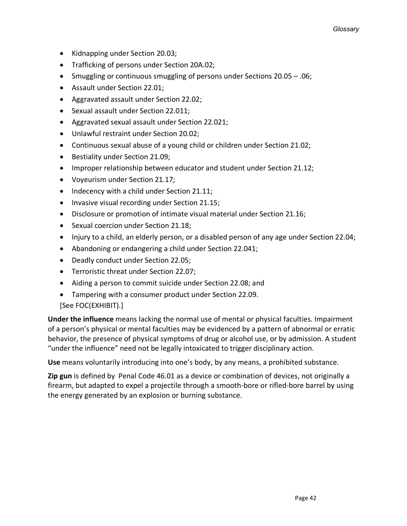- Kidnapping under Section 20.03;
- Trafficking of persons under Section 20A.02;
- Smuggling or continuous smuggling of persons under Sections 20.05 .06;
- Assault under Section 22.01;
- Aggravated assault under Section 22.02;
- Sexual assault under Section 22.011;
- Aggravated sexual assault under Section 22.021;
- Unlawful restraint under Section 20.02;
- Continuous sexual abuse of a young child or children under Section 21.02;
- Bestiality under Section 21.09;
- Improper relationship between educator and student under Section 21.12;
- Voyeurism under Section 21.17;
- Indecency with a child under Section 21.11;
- Invasive visual recording under Section 21.15;
- Disclosure or promotion of intimate visual material under Section 21.16;
- Sexual coercion under Section 21.18;
- Injury to a child, an elderly person, or a disabled person of any age under Section 22.04;
- Abandoning or endangering a child under Section 22.041;
- Deadly conduct under Section 22.05;
- Terroristic threat under Section 22.07;
- Aiding a person to commit suicide under Section 22.08; and
- Tampering with a consumer product under Section 22.09.

#### [See FOC(EXHIBIT).]

**Under the influence** means lacking the normal use of mental or physical faculties. Impairment of a person's physical or mental faculties may be evidenced by a pattern of abnormal or erratic behavior, the presence of physical symptoms of drug or alcohol use, or by admission. A student "under the influence" need not be legally intoxicated to trigger disciplinary action.

**Use** means voluntarily introducing into one's body, by any means, a prohibited substance.

**Zip gun** is defined by Penal Code 46.01 as a device or combination of devices, not originally a firearm, but adapted to expel a projectile through a smooth-bore or rifled-bore barrel by using the energy generated by an explosion or burning substance.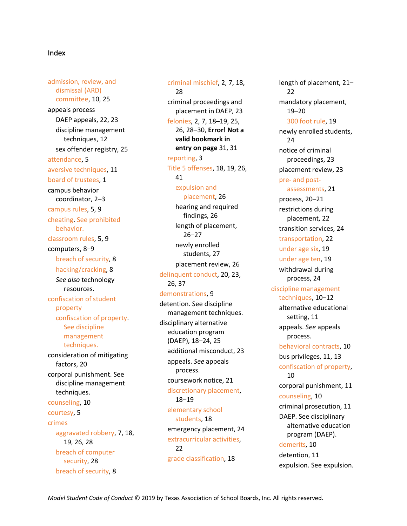#### Index

admission, review, and dismissal (ARD) committee, 10, 25 appeals process DAEP appeals, 22, 23 discipline management techniques, 12 sex offender registry, 25 attendance, 5 aversive techniques, 11 board of trustees, 1 campus behavior coordinator, 2–3 campus rules, 5, 9 cheating. See prohibited behavior. classroom rules, 5, 9 computers, 8–9 breach of security, 8 hacking/cracking, 8 *See also* technology resources. confiscation of student property confiscation of property. See discipline management techniques. consideration of mitigating factors, 20 corporal punishment. See discipline management techniques. counseling, 10 courtesy, 5 crimes aggravated robbery, 7, 18, 19, 26, 28 breach of computer security, 28 breach of security, 8

criminal mischief, 2, 7, 18, 28 criminal proceedings and placement in DAEP, 23 felonies, 2, 7, 18–19, 25, 26, 28–30, **Error! Not a valid bookmark in entry on page** 31, 31 reporting, 3 Title 5 offenses, 18, 19, 26, 41 expulsion and placement, 26 hearing and required findings, 26 length of placement, 26–27 newly enrolled students, 27 placement review, 26 delinquent conduct, 20, 23, 26, 37 demonstrations, 9 detention. See discipline management techniques. disciplinary alternative education program (DAEP), 18–24, 25 additional misconduct, 23 appeals. *See* appeals process. coursework notice, 21 discretionary placement, 18–19 elementary school students, 18 emergency placement, 24 extracurricular activities, 22 grade classification, 18

22 mandatory placement, 19–20 300 foot rule, 19 newly enrolled students, 24 notice of criminal proceedings, 23 placement review, 23 pre- and postassessments, 21 process, 20–21 restrictions during placement, 22 transition services, 24 transportation, 22 under age six, 19 under age ten, 19 withdrawal during process, 24 discipline management techniques, 10–12 alternative educational setting, 11 appeals. *See* appeals process. behavioral contracts, 10 bus privileges, 11, 13 confiscation of property, 10 corporal punishment, 11 counseling, 10 criminal prosecution, 11 DAEP. See disciplinary alternative education program (DAEP). demerits, 10 detention, 11 expulsion. See expulsion.

length of placement, 21–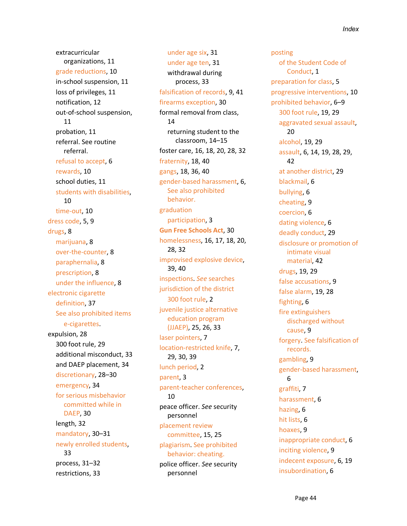extracurricular organizations, 11 grade reductions, 10 in-school suspension, 11 loss of privileges, 11 notification, 12 out-of-school suspension, 11 probation, 11 referral. See routine referral. refusal to accept, 6 rewards, 10 school duties, 11 students with disabilities, 10 time-out, 10 dress code, 5, 9 drugs, 8 marijuana, 8 over-the-counter, 8 paraphernalia, 8 prescription, 8 under the influence, 8 electronic cigarette definition, 37 See also prohibited items e-cigarettes. expulsion, 28 300 foot rule, 29 additional misconduct, 33 and DAEP placement, 34 discretionary, 28–30 emergency, 34 for serious misbehavior committed while in DAEP, 30 length, 32 mandatory, 30–31 newly enrolled students, 33 process, 31–32 restrictions, 33

under age six, 31 under age ten, 31 withdrawal during process, 33 falsification of records, 9, 41 firearms exception, 30 formal removal from class, 14 returning student to the classroom, 14–15 foster care, 16, 18, 20, 28, 32 fraternity, 18, 40 gangs, 18, 36, 40 gender-based harassment, 6, See also prohibited behavior. graduation participation, 3 **Gun Free Schools Act**, 30 homelessness, 16, 17, 18, 20, 28, 32 improvised explosive device, 39, 40 inspections. *See* searches jurisdiction of the district 300 foot rule, 2 juvenile justice alternative education program (JJAEP), 25, 26, 33 laser pointers, 7 location-restricted knife, 7, 29, 30, 39 lunch period, 2 parent, 3 parent-teacher conferences, 10 peace officer. *See* security personnel placement review committee, 15, 25 plagiarism. See prohibited behavior: cheating. police officer. *See* security personnel

posting of the Student Code of Conduct, 1 preparation for class, 5 progressive interventions, 10 prohibited behavior, 6–9 300 foot rule, 19, 29 aggravated sexual assault, 20 alcohol, 19, 29 assault, 6, 14, 19, 28, 29, 42 at another district, 29 blackmail, 6 bullying, 6 cheating, 9 coercion, 6 dating violence, 6 deadly conduct, 29 disclosure or promotion of intimate visual material, 42 drugs, 19, 29 false accusations, 9 false alarm, 19, 28 fighting, 6 fire extinguishers discharged without cause, 9 forgery. See falsification of records. gambling, 9 gender-based harassment, 6 graffiti, 7 harassment, 6 hazing, 6 hit lists, 6 hoaxes, 9 inappropriate conduct, 6 inciting violence, 9 indecent exposure, 6, 19 insubordination, 6